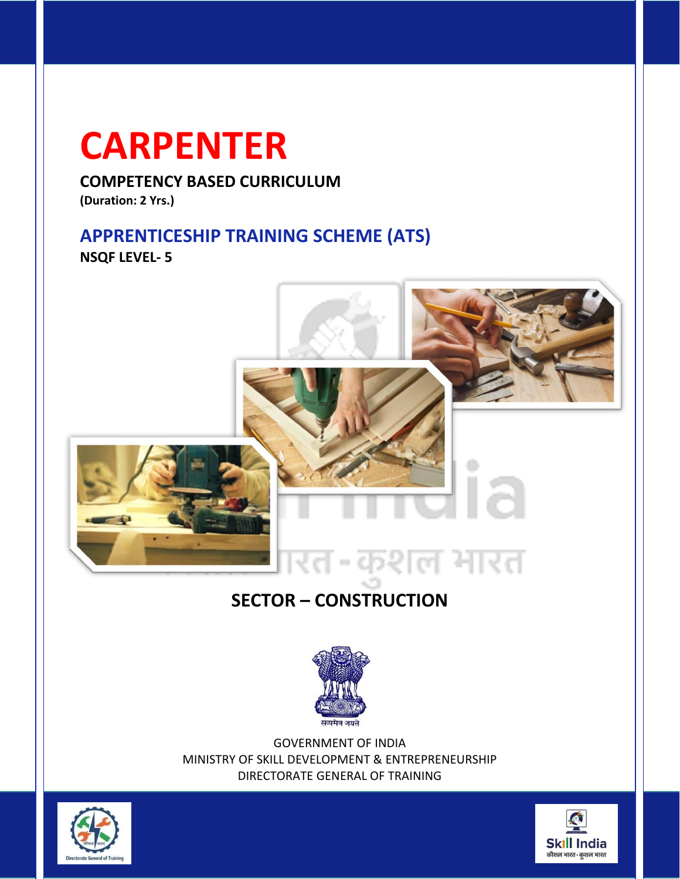## **CARPENTER**

**COMPETENCY BASED CURRICULUM**

**(Duration: 2 Yrs.)**

## **APPRENTICESHIP TRAINING SCHEME (ATS)**

**NSQF LEVEL- 5**



## **SECTOR – CONSTRUCTION**



GOVERNMENT OF INDIA MINISTRY OF SKILL DEVELOPMENT & ENTREPRENEURSHIP DIRECTORATE GENERAL OF TRAINING



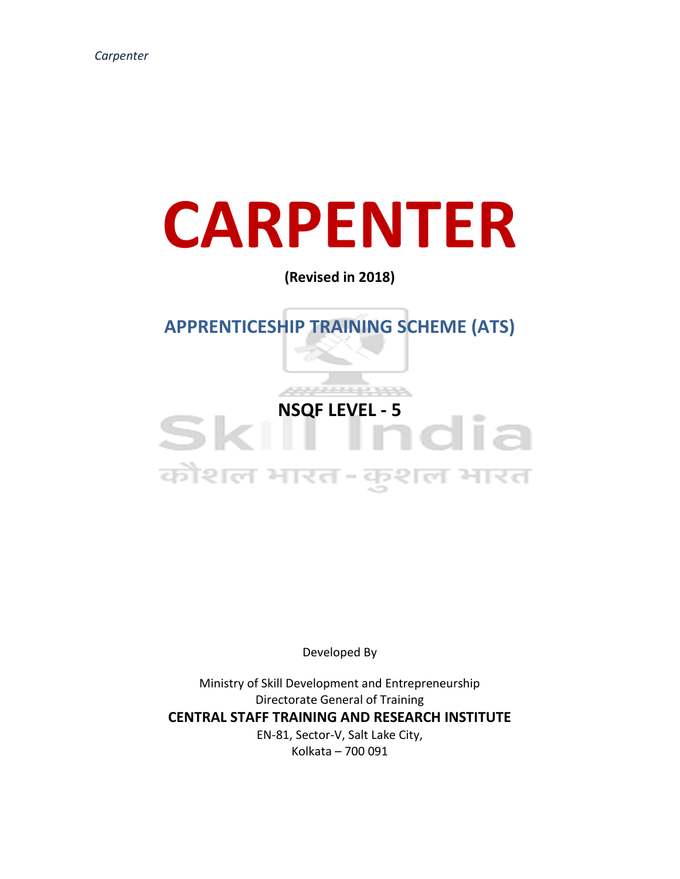# **CARPENTER**

**(Revised in 2018)**

**APPRENTICESHIP TRAINING SCHEME (ATS)**

# **NSQF LEVEL - 5** कौशल भारत-कुशल भारत

Developed By

Ministry of Skill Development and Entrepreneurship Directorate General of Training **CENTRAL STAFF TRAINING AND RESEARCH INSTITUTE** EN-81, Sector-V, Salt Lake City, Kolkata – 700 091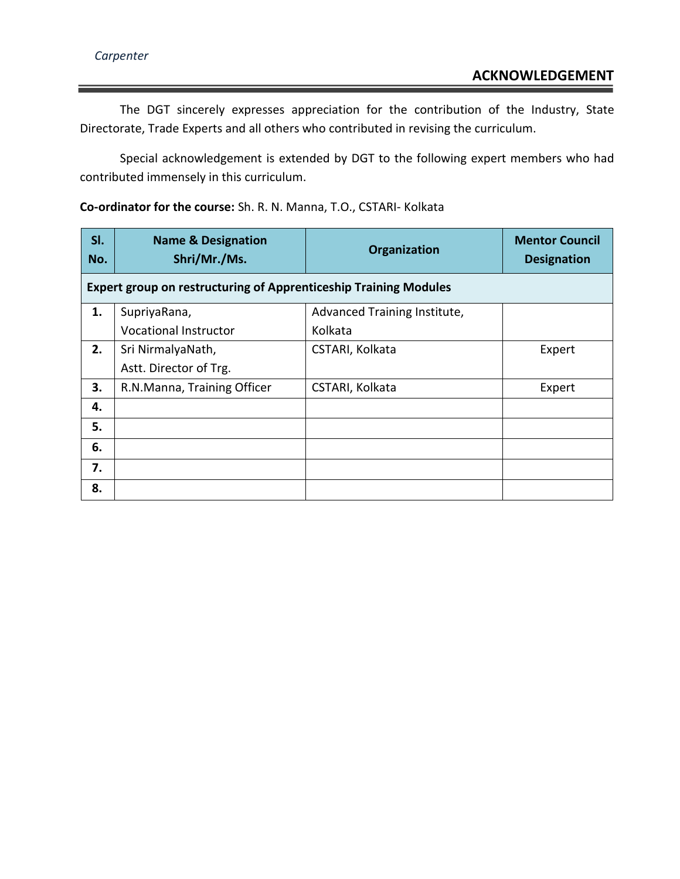The DGT sincerely expresses appreciation for the contribution of the Industry, State Directorate, Trade Experts and all others who contributed in revising the curriculum.

Special acknowledgement is extended by DGT to the following expert members who had contributed immensely in this curriculum.

**Co-ordinator for the course:** Sh. R. N. Manna, T.O., CSTARI- Kolkata

| SI.<br>No. | <b>Name &amp; Designation</b><br>Shri/Mr./Ms.                           | Organization                 | <b>Mentor Council</b><br><b>Designation</b> |
|------------|-------------------------------------------------------------------------|------------------------------|---------------------------------------------|
|            | <b>Expert group on restructuring of Apprenticeship Training Modules</b> |                              |                                             |
| 1.         | SupriyaRana,                                                            | Advanced Training Institute, |                                             |
|            | <b>Vocational Instructor</b>                                            | Kolkata                      |                                             |
| 2.         | Sri NirmalyaNath,                                                       | CSTARI, Kolkata              | Expert                                      |
|            | Astt. Director of Trg.                                                  |                              |                                             |
| 3.         | R.N.Manna, Training Officer                                             | CSTARI, Kolkata              | Expert                                      |
| 4.         |                                                                         |                              |                                             |
| 5.         |                                                                         |                              |                                             |
| 6.         |                                                                         |                              |                                             |
| 7.         |                                                                         |                              |                                             |
| 8.         |                                                                         |                              |                                             |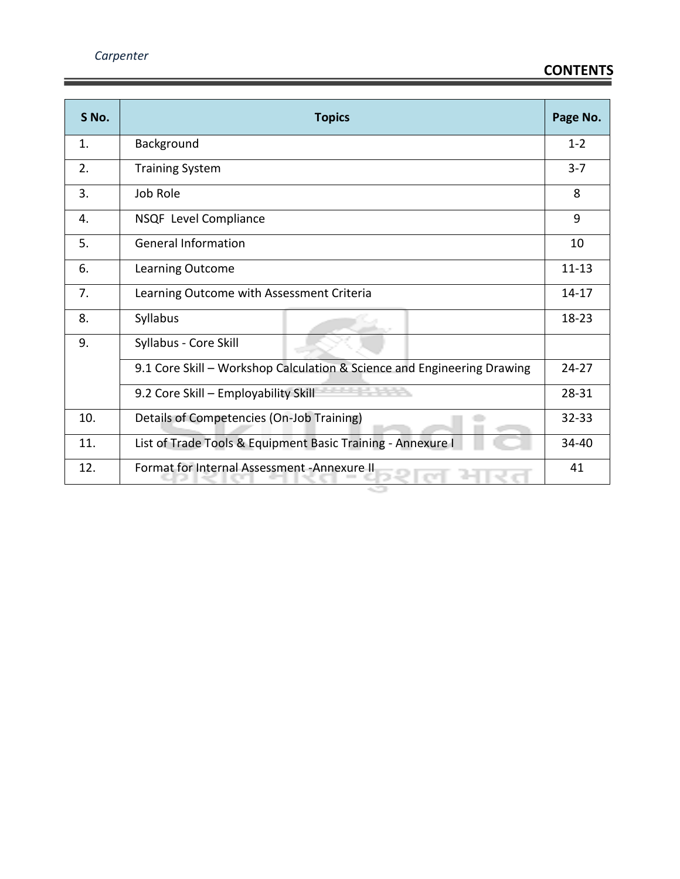| S No. | <b>Topics</b>                                                           |         |
|-------|-------------------------------------------------------------------------|---------|
| 1.    | Background                                                              |         |
| 2.    | <b>Training System</b>                                                  | $3 - 7$ |
| 3.    | Job Role                                                                | 8       |
| 4.    | NSQF Level Compliance                                                   | 9       |
| 5.    | <b>General Information</b>                                              | 10      |
| 6.    | Learning Outcome                                                        |         |
| 7.    | Learning Outcome with Assessment Criteria                               |         |
| 8.    | Syllabus                                                                |         |
| 9.    | Syllabus - Core Skill                                                   |         |
|       | 9.1 Core Skill - Workshop Calculation & Science and Engineering Drawing |         |
|       | 9.2 Core Skill - Employability Skill                                    |         |
| 10.   | Details of Competencies (On-Job Training)                               |         |
| 11.   | List of Trade Tools & Equipment Basic Training - Annexure I             |         |
| 12.   | Format for Internal Assessment - Annexure II                            | 41      |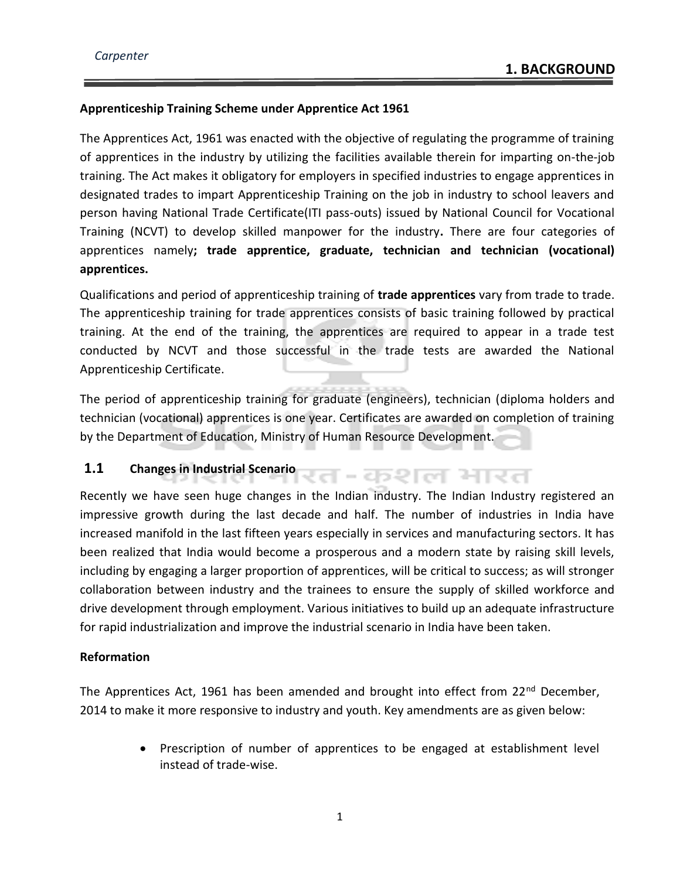#### **Apprenticeship Training Scheme under Apprentice Act 1961**

The Apprentices Act, 1961 was enacted with the objective of regulating the programme of training of apprentices in the industry by utilizing the facilities available therein for imparting on-the-job training. The Act makes it obligatory for employers in specified industries to engage apprentices in designated trades to impart Apprenticeship Training on the job in industry to school leavers and person having National Trade Certificate(ITI pass-outs) issued by National Council for Vocational Training (NCVT) to develop skilled manpower for the industry**.** There are four categories of apprentices namely**; trade apprentice, graduate, technician and technician (vocational) apprentices.** 

Qualifications and period of apprenticeship training of **trade apprentices** vary from trade to trade. The apprenticeship training for trade apprentices consists of basic training followed by practical training. At the end of the training, the apprentices are required to appear in a trade test conducted by NCVT and those successful in the trade tests are awarded the National Apprenticeship Certificate.

The period of apprenticeship training for graduate (engineers), technician (diploma holders and technician (vocational) apprentices is one year. Certificates are awarded on completion of training by the Department of Education, Ministry of Human Resource Development.

रत-कशल भारत

#### **1.1 Changes in Industrial Scenario**

Recently we have seen huge changes in the Indian industry. The Indian Industry registered an impressive growth during the last decade and half. The number of industries in India have increased manifold in the last fifteen years especially in services and manufacturing sectors. It has been realized that India would become a prosperous and a modern state by raising skill levels, including by engaging a larger proportion of apprentices, will be critical to success; as will stronger collaboration between industry and the trainees to ensure the supply of skilled workforce and drive development through employment. Various initiatives to build up an adequate infrastructure for rapid industrialization and improve the industrial scenario in India have been taken.

#### **Reformation**

The Apprentices Act, 1961 has been amended and brought into effect from 22<sup>nd</sup> December, 2014 to make it more responsive to industry and youth. Key amendments are as given below:

> • Prescription of number of apprentices to be engaged at establishment level instead of trade-wise.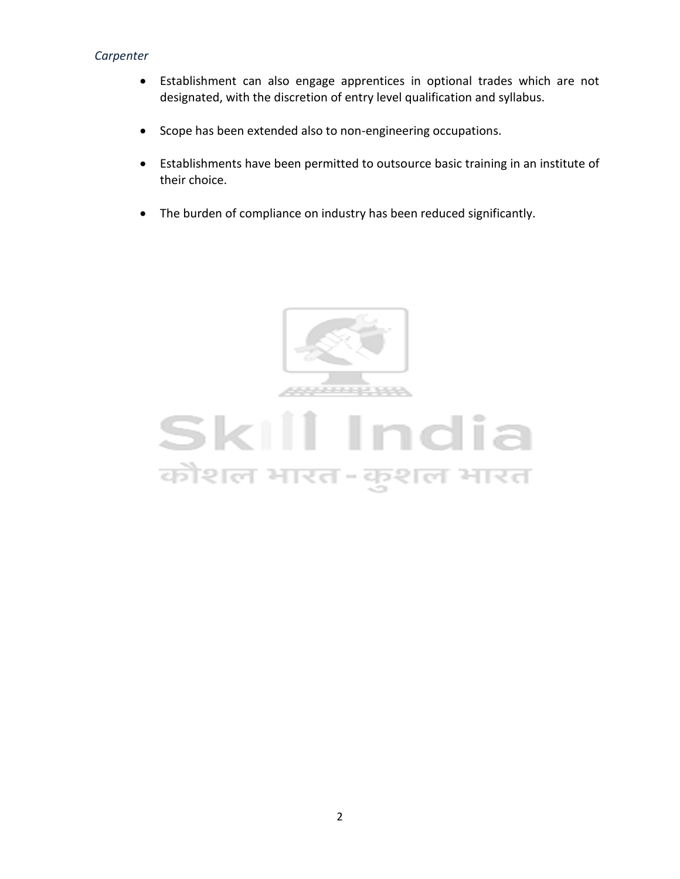- Establishment can also engage apprentices in optional trades which are not designated, with the discretion of entry level qualification and syllabus.
- Scope has been extended also to non-engineering occupations.
- Establishments have been permitted to outsource basic training in an institute of their choice.
- The burden of compliance on industry has been reduced significantly.



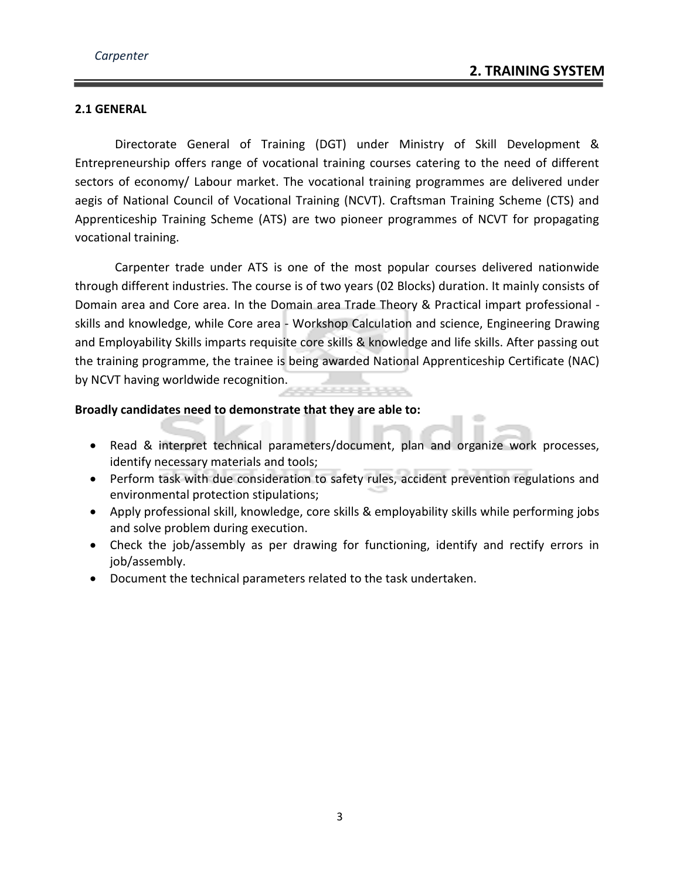#### **2.1 GENERAL**

Directorate General of Training (DGT) under Ministry of Skill Development & Entrepreneurship offers range of vocational training courses catering to the need of different sectors of economy/ Labour market. The vocational training programmes are delivered under aegis of National Council of Vocational Training (NCVT). Craftsman Training Scheme (CTS) and Apprenticeship Training Scheme (ATS) are two pioneer programmes of NCVT for propagating vocational training.

Carpenter trade under ATS is one of the most popular courses delivered nationwide through different industries. The course is of two years (02 Blocks) duration. It mainly consists of Domain area and Core area. In the Domain area Trade Theory & Practical impart professional skills and knowledge, while Core area - Workshop Calculation and science, Engineering Drawing and Employability Skills imparts requisite core skills & knowledge and life skills. After passing out the training programme, the trainee is being awarded National Apprenticeship Certificate (NAC) by NCVT having worldwide recognition.

#### **Broadly candidates need to demonstrate that they are able to:**

- Read & interpret technical parameters/document, plan and organize work processes, identify necessary materials and tools;
- Perform task with due consideration to safety rules, accident prevention regulations and environmental protection stipulations;
- Apply professional skill, knowledge, core skills & employability skills while performing jobs and solve problem during execution.
- Check the job/assembly as per drawing for functioning, identify and rectify errors in job/assembly.
- Document the technical parameters related to the task undertaken.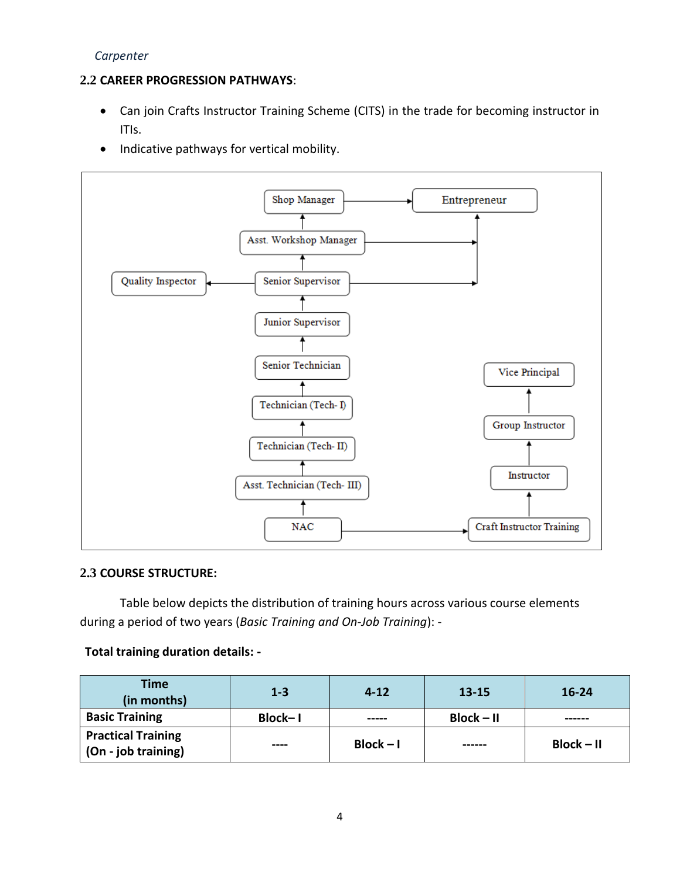#### **2.2 CAREER PROGRESSION PATHWAYS**:

- Can join Crafts Instructor Training Scheme (CITS) in the trade for becoming instructor in ITIs.
- Indicative pathways for vertical mobility.



#### **2.3 COURSE STRUCTURE:**

Table below depicts the distribution of training hours across various course elements during a period of two years (*Basic Training and On-Job Training*): -

#### **Total training duration details: -**

| <b>Time</b><br>(in months)                       | $1 - 3$ | $4 - 12$    | $13 - 15$    | $16 - 24$    |
|--------------------------------------------------|---------|-------------|--------------|--------------|
| <b>Basic Training</b>                            | Block-1 | -----       | $Block - II$ | ------       |
| <b>Practical Training</b><br>(On - job training) | ----    | $Block - I$ | ------       | $Block - II$ |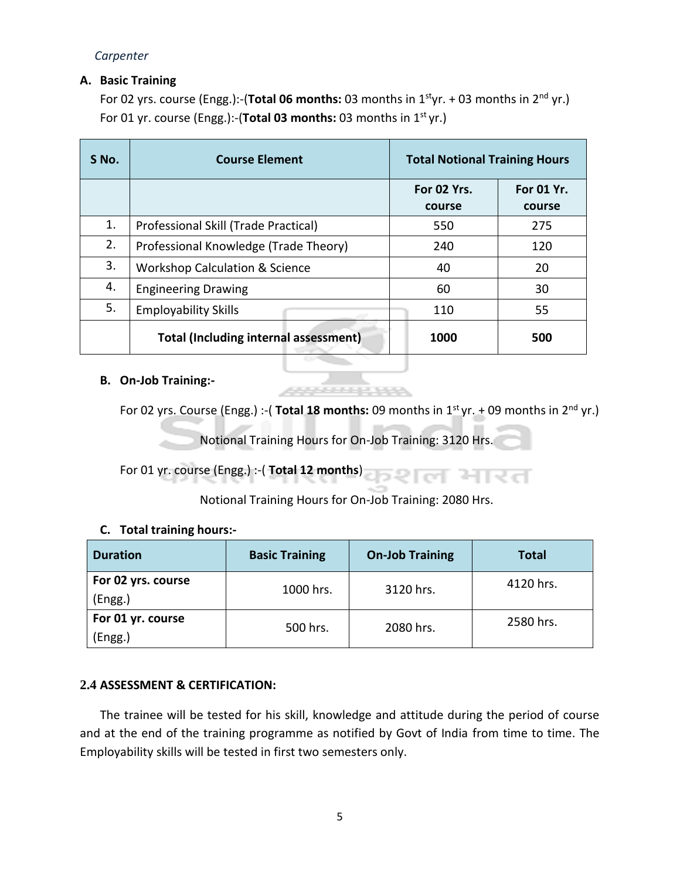#### **A. Basic Training**

For 02 yrs. course (Engg.):-(**Total 06 months:** 03 months in 1styr. + 03 months in 2nd yr.) For 01 yr. course (Engg.):-(**Total 03 months:** 03 months in 1st yr.)

| S No. | <b>Course Element</b>                        | <b>Total Notional Training Hours</b> |            |
|-------|----------------------------------------------|--------------------------------------|------------|
|       |                                              | For 02 Yrs.                          | For 01 Yr. |
|       |                                              | course                               | course     |
| 1.    | Professional Skill (Trade Practical)         | 550                                  | 275        |
| 2.    | Professional Knowledge (Trade Theory)        | 240                                  | 120        |
| 3.    | <b>Workshop Calculation &amp; Science</b>    | 40                                   | 20         |
| 4.    | <b>Engineering Drawing</b>                   | 60                                   | 30         |
| 5.    | <b>Employability Skills</b>                  | 110                                  | 55         |
|       | <b>Total (Including internal assessment)</b> | 1000                                 | 500        |

#### **B. On-Job Training:-**

For 02 yrs. Course (Engg.) :- (**Total 18 months:** 09 months in 1<sup>st</sup> yr. + 09 months in 2<sup>nd</sup> yr.)

Notional Training Hours for On-Job Training: 3120 Hrs.

For 01 yr. course (Engg.) :-( **Total 12 months**)

Notional Training Hours for On-Job Training: 2080 Hrs.

#### **C. Total training hours:-**

| <b>Duration</b>                            | <b>Basic Training</b> | <b>On-Job Training</b> | <b>Total</b> |
|--------------------------------------------|-----------------------|------------------------|--------------|
| For 02 yrs. course<br>1000 hrs.<br>(Engg.) |                       | 3120 hrs.              | 4120 hrs.    |
| For 01 yr. course<br>(Engg.)               | 500 hrs.              | 2080 hrs.              | 2580 hrs.    |

#### **2.4 ASSESSMENT & CERTIFICATION:**

The trainee will be tested for his skill, knowledge and attitude during the period of course and at the end of the training programme as notified by Govt of India from time to time. The Employability skills will be tested in first two semesters only.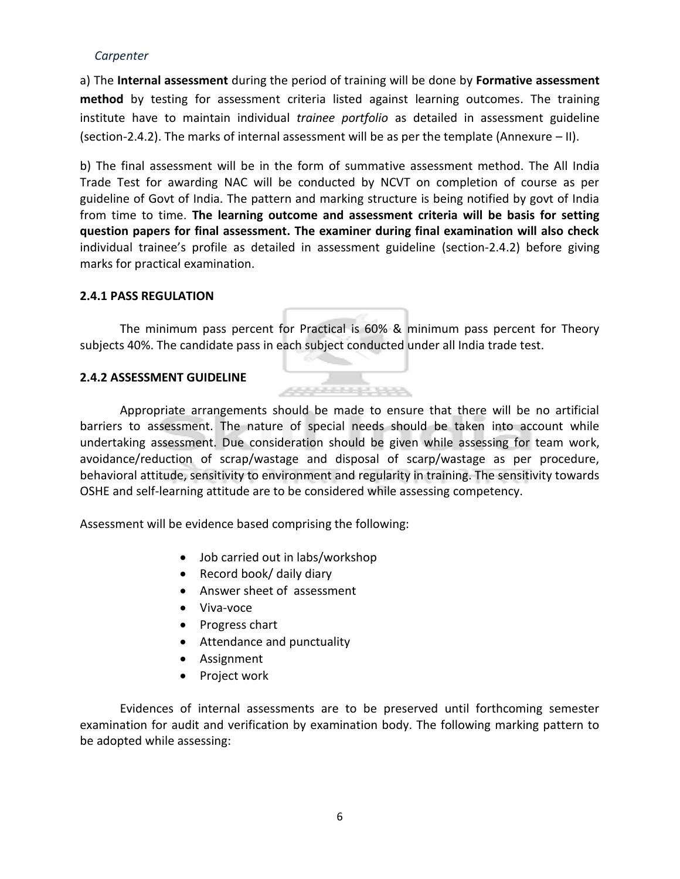a) The **Internal assessment** during the period of training will be done by **Formative assessment method** by testing for assessment criteria listed against learning outcomes. The training institute have to maintain individual *trainee portfolio* as detailed in assessment guideline (section-2.4.2). The marks of internal assessment will be as per the template (Annexure – II).

b) The final assessment will be in the form of summative assessment method. The All India Trade Test for awarding NAC will be conducted by NCVT on completion of course as per guideline of Govt of India. The pattern and marking structure is being notified by govt of India from time to time. **The learning outcome and assessment criteria will be basis for setting question papers for final assessment. The examiner during final examination will also check**  individual trainee's profile as detailed in assessment guideline (section-2.4.2) before giving marks for practical examination.

#### **2.4.1 PASS REGULATION**

The minimum pass percent for Practical is 60% & minimum pass percent for Theory subjects 40%. The candidate pass in each subject conducted under all India trade test.

**CONFIDENTIAL** 

#### **2.4.2 ASSESSMENT GUIDELINE**



Assessment will be evidence based comprising the following:

- Job carried out in labs/workshop
- Record book/ daily diary
- Answer sheet of assessment
- Viva-voce
- Progress chart
- Attendance and punctuality
- Assignment
- Project work

Evidences of internal assessments are to be preserved until forthcoming semester examination for audit and verification by examination body. The following marking pattern to be adopted while assessing: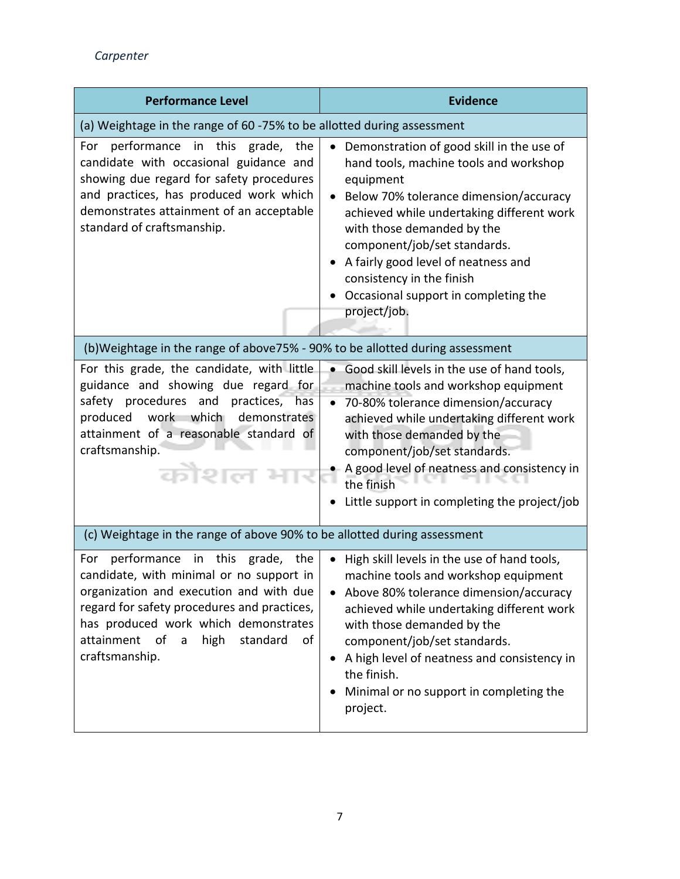| <b>Performance Level</b>                                                                                                                                                                                                                                                           | <b>Evidence</b>                                                                                                                                                                                                                                                                                                                                                                                |
|------------------------------------------------------------------------------------------------------------------------------------------------------------------------------------------------------------------------------------------------------------------------------------|------------------------------------------------------------------------------------------------------------------------------------------------------------------------------------------------------------------------------------------------------------------------------------------------------------------------------------------------------------------------------------------------|
| (a) Weightage in the range of 60 -75% to be allotted during assessment                                                                                                                                                                                                             |                                                                                                                                                                                                                                                                                                                                                                                                |
| performance in this grade, the<br>For<br>candidate with occasional guidance and<br>showing due regard for safety procedures<br>and practices, has produced work which<br>demonstrates attainment of an acceptable<br>standard of craftsmanship.                                    | Demonstration of good skill in the use of<br>$\bullet$<br>hand tools, machine tools and workshop<br>equipment<br>Below 70% tolerance dimension/accuracy<br>achieved while undertaking different work<br>with those demanded by the<br>component/job/set standards.<br>A fairly good level of neatness and<br>consistency in the finish<br>Occasional support in completing the<br>project/job. |
| (b)Weightage in the range of above75% - 90% to be allotted during assessment                                                                                                                                                                                                       |                                                                                                                                                                                                                                                                                                                                                                                                |
| For this grade, the candidate, with little<br>guidance and showing due regard for<br>safety procedures and<br>practices,<br>has<br>work which demonstrates<br>produced<br>attainment of a reasonable standard of<br>craftsmanship.<br>कौशल                                         | Good skill levels in the use of hand tools,<br>$\bullet$<br>machine tools and workshop equipment<br>70-80% tolerance dimension/accuracy<br>$\bullet$<br>achieved while undertaking different work<br>with those demanded by the<br>component/job/set standards.<br>A good level of neatness and consistency in<br>the finish<br>Little support in completing the project/job                   |
| (c) Weightage in the range of above 90% to be allotted during assessment                                                                                                                                                                                                           |                                                                                                                                                                                                                                                                                                                                                                                                |
| performance in this grade, the<br>For<br>candidate, with minimal or no support in<br>organization and execution and with due<br>regard for safety procedures and practices,<br>has produced work which demonstrates<br>attainment of a<br>high<br>standard<br>of<br>craftsmanship. | • High skill levels in the use of hand tools,<br>machine tools and workshop equipment<br>Above 80% tolerance dimension/accuracy<br>achieved while undertaking different work<br>with those demanded by the<br>component/job/set standards.<br>A high level of neatness and consistency in<br>the finish.<br>Minimal or no support in completing the<br>project.                                |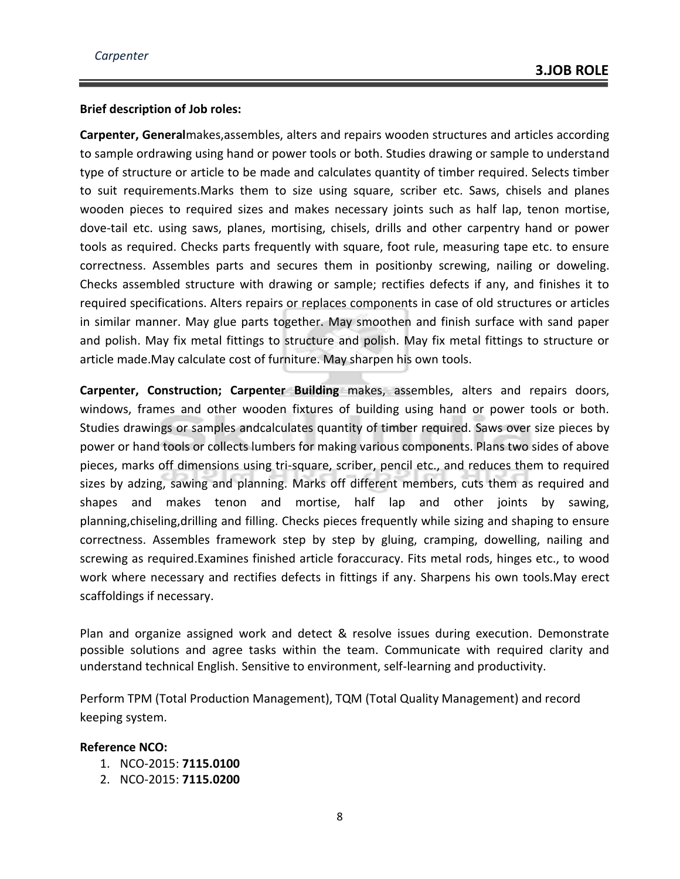#### **Brief description of Job roles:**

**Carpenter, General**makes,assembles, alters and repairs wooden structures and articles according to sample ordrawing using hand or power tools or both. Studies drawing or sample to understand type of structure or article to be made and calculates quantity of timber required. Selects timber to suit requirements.Marks them to size using square, scriber etc. Saws, chisels and planes wooden pieces to required sizes and makes necessary joints such as half lap, tenon mortise, dove-tail etc. using saws, planes, mortising, chisels, drills and other carpentry hand or power tools as required. Checks parts frequently with square, foot rule, measuring tape etc. to ensure correctness. Assembles parts and secures them in positionby screwing, nailing or doweling. Checks assembled structure with drawing or sample; rectifies defects if any, and finishes it to required specifications. Alters repairs or replaces components in case of old structures or articles in similar manner. May glue parts together. May smoothen and finish surface with sand paper and polish. May fix metal fittings to structure and polish. May fix metal fittings to structure or article made.May calculate cost of furniture. May sharpen his own tools.

**Carpenter, Construction; Carpenter Building** makes, assembles, alters and repairs doors, windows, frames and other wooden fixtures of building using hand or power tools or both. Studies drawings or samples andcalculates quantity of timber required. Saws over size pieces by power or hand tools or collects lumbers for making various components. Plans two sides of above pieces, marks off dimensions using tri-square, scriber, pencil etc., and reduces them to required sizes by adzing, sawing and planning. Marks off different members, cuts them as required and shapes and makes tenon and mortise, half lap and other joints by sawing, planning,chiseling,drilling and filling. Checks pieces frequently while sizing and shaping to ensure correctness. Assembles framework step by step by gluing, cramping, dowelling, nailing and screwing as required.Examines finished article foraccuracy. Fits metal rods, hinges etc., to wood work where necessary and rectifies defects in fittings if any. Sharpens his own tools.May erect scaffoldings if necessary.

Plan and organize assigned work and detect & resolve issues during execution. Demonstrate possible solutions and agree tasks within the team. Communicate with required clarity and understand technical English. Sensitive to environment, self-learning and productivity.

Perform TPM (Total Production Management), TQM (Total Quality Management) and record keeping system.

#### **Reference NCO:**

- 1. NCO-2015: **7115.0100**
- 2. NCO-2015: **7115.0200**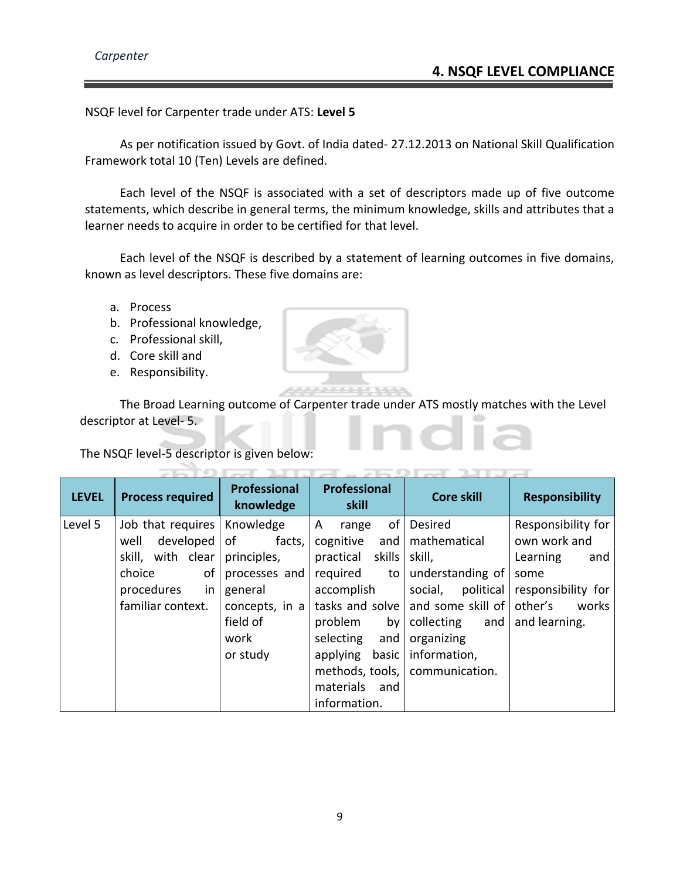NSQF level for Carpenter trade under ATS: **Level 5**

As per notification issued by Govt. of India dated- 27.12.2013 on National Skill Qualification Framework total 10 (Ten) Levels are defined.

Each level of the NSQF is associated with a set of descriptors made up of five outcome statements, which describe in general terms, the minimum knowledge, skills and attributes that a learner needs to acquire in order to be certified for that level.

Each level of the NSQF is described by a statement of learning outcomes in five domains, known as level descriptors. These five domains are:

- a. Process
- b. Professional knowledge,
- c. Professional skill,
- d. Core skill and
- e. Responsibility.

The Broad Learning outcome of Carpenter trade under ATS mostly matches with the Level descriptor at Level- 5.

The NSQF level-5 descriptor is given below:

| <b>LEVEL</b> | <b>Process required</b> | <b>Professional</b><br>knowledge | Professional<br>skill | <b>Core skill</b>                 | <b>Responsibility</b> |
|--------------|-------------------------|----------------------------------|-----------------------|-----------------------------------|-----------------------|
| Level 5      | Job that requires       | Knowledge                        | οf<br>A<br>range      | <b>Desired</b>                    | Responsibility for    |
|              | developed  <br>well     | of<br>facts,                     | cognitive<br>and      | mathematical                      | own work and          |
|              | with clear<br>skill,    | principles,                      | skills<br>practical   | skill,                            | Learning<br>and       |
|              | of<br>choice            | processes and                    | required<br>to l      | understanding of                  | some                  |
|              | procedures<br>in.       | general                          | accomplish            | political<br>social,              | responsibility for    |
|              | familiar context.       | concepts, in a                   |                       | tasks and solve and some skill of | other's<br>works      |
|              |                         | field of                         | problem               | by   collecting<br>and            | and learning.         |
|              |                         | work                             | selecting<br>and      | organizing                        |                       |
|              |                         | or study                         | applying<br>basic     | information,                      |                       |
|              |                         |                                  |                       | methods, tools,   communication.  |                       |
|              |                         |                                  | materials and         |                                   |                       |
|              |                         |                                  | information.          |                                   |                       |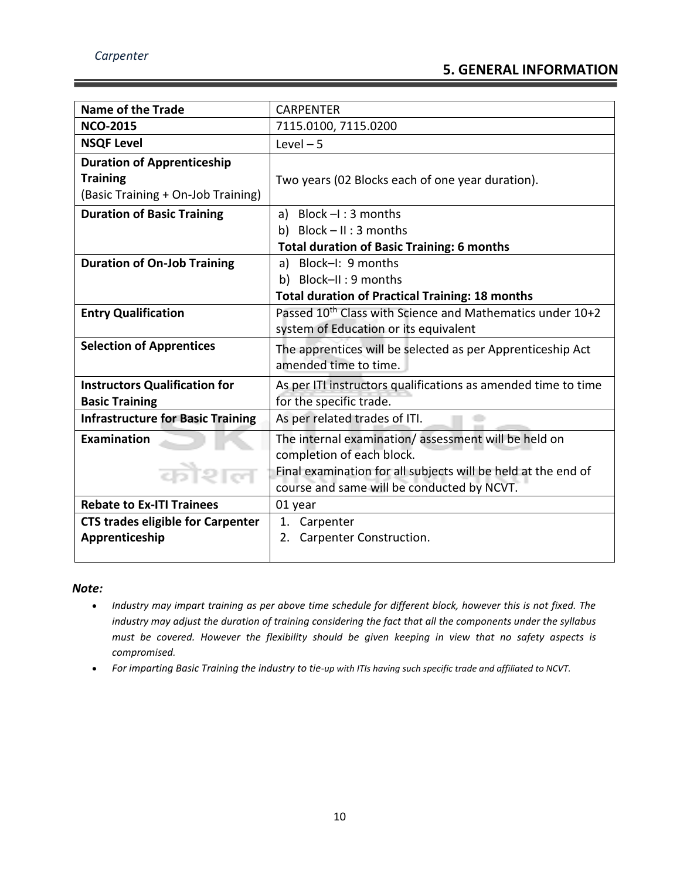| <b>Name of the Trade</b>                                 | <b>CARPENTER</b>                                                      |
|----------------------------------------------------------|-----------------------------------------------------------------------|
| <b>NCO-2015</b>                                          | 7115.0100, 7115.0200                                                  |
| <b>NSQF Level</b>                                        | Level $-5$                                                            |
| <b>Duration of Apprenticeship</b>                        |                                                                       |
| <b>Training</b>                                          | Two years (02 Blocks each of one year duration).                      |
| (Basic Training + On-Job Training)                       |                                                                       |
| <b>Duration of Basic Training</b>                        | a) Block $-I$ : 3 months                                              |
|                                                          | b) Block $- II : 3$ months                                            |
|                                                          | <b>Total duration of Basic Training: 6 months</b>                     |
| <b>Duration of On-Job Training</b>                       | a) Block-I: 9 months                                                  |
|                                                          | b) Block-II: 9 months                                                 |
|                                                          | <b>Total duration of Practical Training: 18 months</b>                |
| <b>Entry Qualification</b>                               | Passed 10 <sup>th</sup> Class with Science and Mathematics under 10+2 |
|                                                          | system of Education or its equivalent                                 |
| <b>Selection of Apprentices</b>                          | The apprentices will be selected as per Apprenticeship Act            |
|                                                          | amended time to time.                                                 |
| <b>Instructors Qualification for</b>                     | As per ITI instructors qualifications as amended time to time         |
| <b>Basic Training</b>                                    | for the specific trade.                                               |
| <b>Infrastructure for Basic Training</b>                 | As per related trades of ITI.                                         |
| Examination                                              | The internal examination/assessment will be held on                   |
|                                                          | completion of each block.                                             |
| कोशल                                                     | Final examination for all subjects will be held at the end of         |
|                                                          | course and same will be conducted by NCVT.                            |
| <b>Rebate to Ex-ITI Trainees</b>                         | 01 year                                                               |
| <b>CTS trades eligible for Carpenter</b><br>1. Carpenter |                                                                       |
| Apprenticeship                                           | Carpenter Construction.<br>2.                                         |
|                                                          |                                                                       |

#### *Note:*

- *Industry may impart training as per above time schedule for different block, however this is not fixed. The industry may adjust the duration of training considering the fact that all the components under the syllabus must be covered. However the flexibility should be given keeping in view that no safety aspects is compromised.*
- *For imparting Basic Training the industry to tie-up with ITIs having such specific trade and affiliated to NCVT.*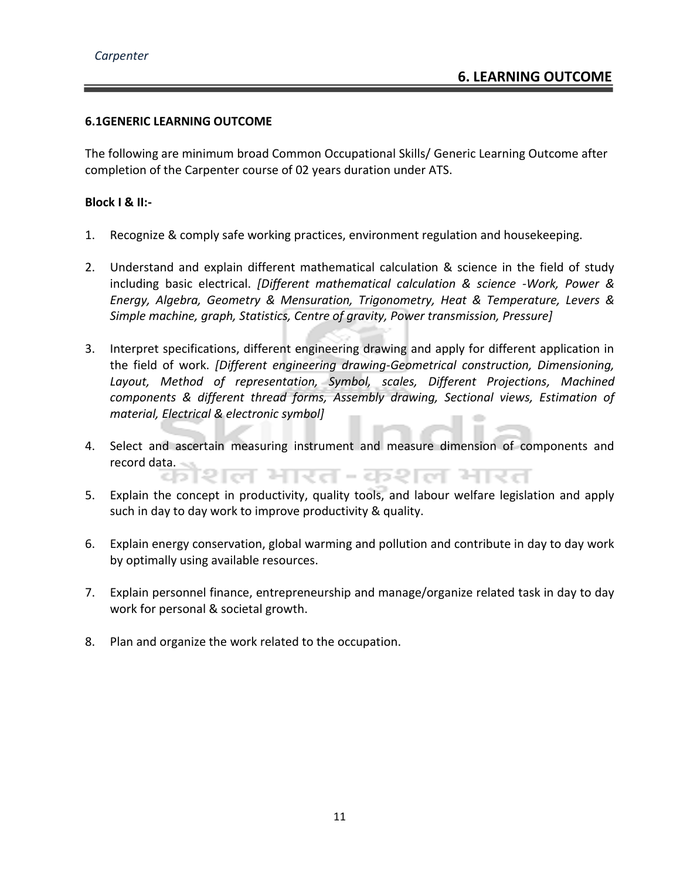#### **6.1GENERIC LEARNING OUTCOME**

C D.

The following are minimum broad Common Occupational Skills/ Generic Learning Outcome after completion of the Carpenter course of 02 years duration under ATS.

#### **Block I & II:-**

- 1. Recognize & comply safe working practices, environment regulation and housekeeping.
- 2. Understand and explain different mathematical calculation & science in the field of study including basic electrical. *[Different mathematical calculation & science -Work, Power & Energy, Algebra, Geometry & Mensuration, Trigonometry, Heat & Temperature, Levers & Simple machine, graph, Statistics, Centre of gravity, Power transmission, Pressure]*
- 3. Interpret specifications, different engineering drawing and apply for different application in the field of work. *[Different engineering drawing-Geometrical construction, Dimensioning, Layout, Method of representation, Symbol, scales, Different Projections, Machined components & different thread forms, Assembly drawing, Sectional views, Estimation of material, Electrical & electronic symbol]*
- 4. Select and ascertain measuring instrument and measure dimension of components and record data. शल भारत-कशल भारत
- 5. Explain the concept in productivity, quality tools, and labour welfare legislation and apply such in day to day work to improve productivity & quality.
- 6. Explain energy conservation, global warming and pollution and contribute in day to day work by optimally using available resources.
- 7. Explain personnel finance, entrepreneurship and manage/organize related task in day to day work for personal & societal growth.
- 8. Plan and organize the work related to the occupation.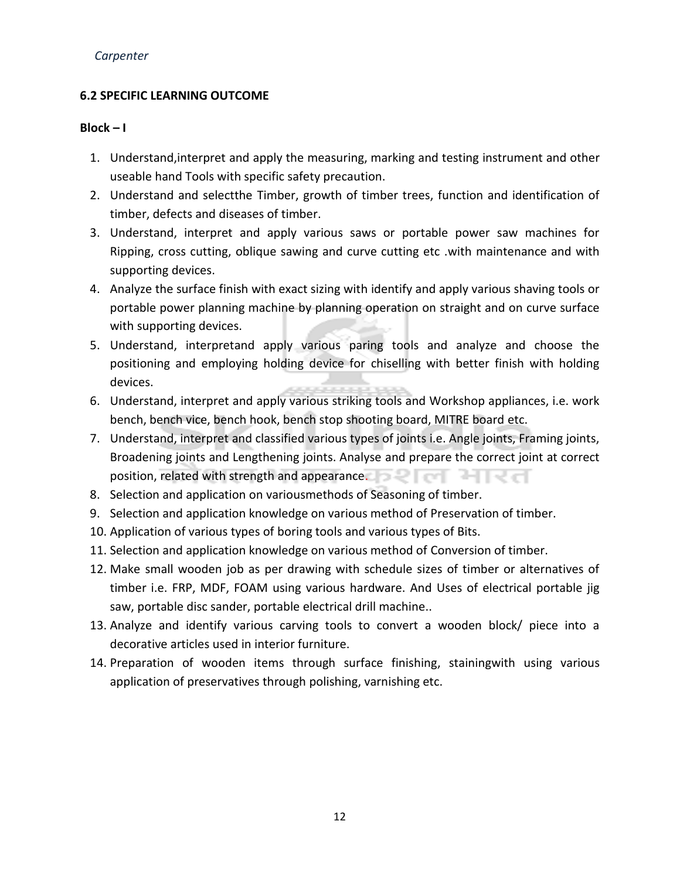#### **6.2 SPECIFIC LEARNING OUTCOME**

#### **Block – I**

- 1. Understand,interpret and apply the measuring, marking and testing instrument and other useable hand Tools with specific safety precaution.
- 2. Understand and selectthe Timber, growth of timber trees, function and identification of timber, defects and diseases of timber.
- 3. Understand, interpret and apply various saws or portable power saw machines for Ripping, cross cutting, oblique sawing and curve cutting etc .with maintenance and with supporting devices.
- 4. Analyze the surface finish with exact sizing with identify and apply various shaving tools or portable power planning machine by planning operation on straight and on curve surface with supporting devices.
- 5. Understand, interpretand apply various paring tools and analyze and choose the positioning and employing holding device for chiselling with better finish with holding devices.
- 6. Understand, interpret and apply various striking tools and Workshop appliances, i.e. work bench, bench vice, bench hook, bench stop shooting board, MITRE board etc.
- 7. Understand, interpret and classified various types of joints i.e. Angle joints, Framing joints, Broadening joints and Lengthening joints. Analyse and prepare the correct joint at correct position, related with strength and appearance.
- 8. Selection and application on variousmethods of Seasoning of timber.
- 9. Selection and application knowledge on various method of Preservation of timber.
- 10. Application of various types of boring tools and various types of Bits.
- 11. Selection and application knowledge on various method of Conversion of timber.
- 12. Make small wooden job as per drawing with schedule sizes of timber or alternatives of timber i.e. FRP, MDF, FOAM using various hardware. And Uses of electrical portable jig saw, portable disc sander, portable electrical drill machine..
- 13. Analyze and identify various carving tools to convert a wooden block/ piece into a decorative articles used in interior furniture.
- 14. Preparation of wooden items through surface finishing, stainingwith using various application of preservatives through polishing, varnishing etc.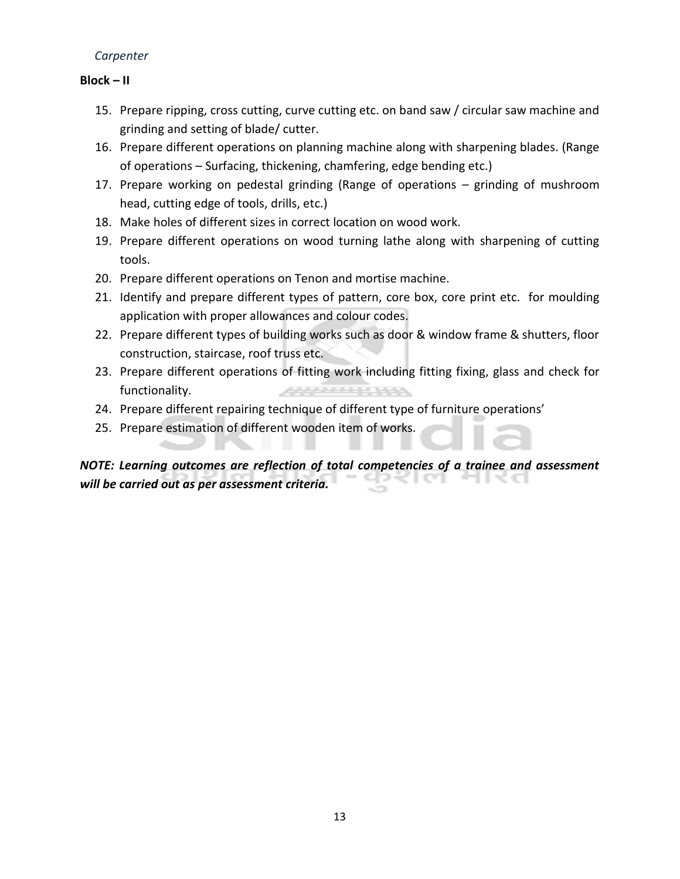#### **Block – II**

- 15. Prepare ripping, cross cutting, curve cutting etc. on band saw / circular saw machine and grinding and setting of blade/ cutter.
- 16. Prepare different operations on planning machine along with sharpening blades. (Range of operations – Surfacing, thickening, chamfering, edge bending etc.)
- 17. Prepare working on pedestal grinding (Range of operations grinding of mushroom head, cutting edge of tools, drills, etc.)
- 18. Make holes of different sizes in correct location on wood work.
- 19. Prepare different operations on wood turning lathe along with sharpening of cutting tools.
- 20. Prepare different operations on Tenon and mortise machine.
- 21. Identify and prepare different types of pattern, core box, core print etc. for moulding application with proper allowances and colour codes.
- 22. Prepare different types of building works such as door & window frame & shutters, floor construction, staircase, roof truss etc.
- 23. Prepare different operations of fitting work including fitting fixing, glass and check for functionality. **ARSONAUT**
- 24. Prepare different repairing technique of different type of furniture operations'
- 25. Prepare estimation of different wooden item of works.

#### *NOTE: Learning outcomes are reflection of total competencies of a trainee and assessment*   $\sim$   $\sim$   $\sim$   $\sim$ an ing gr *will be carried out as per assessment criteria.*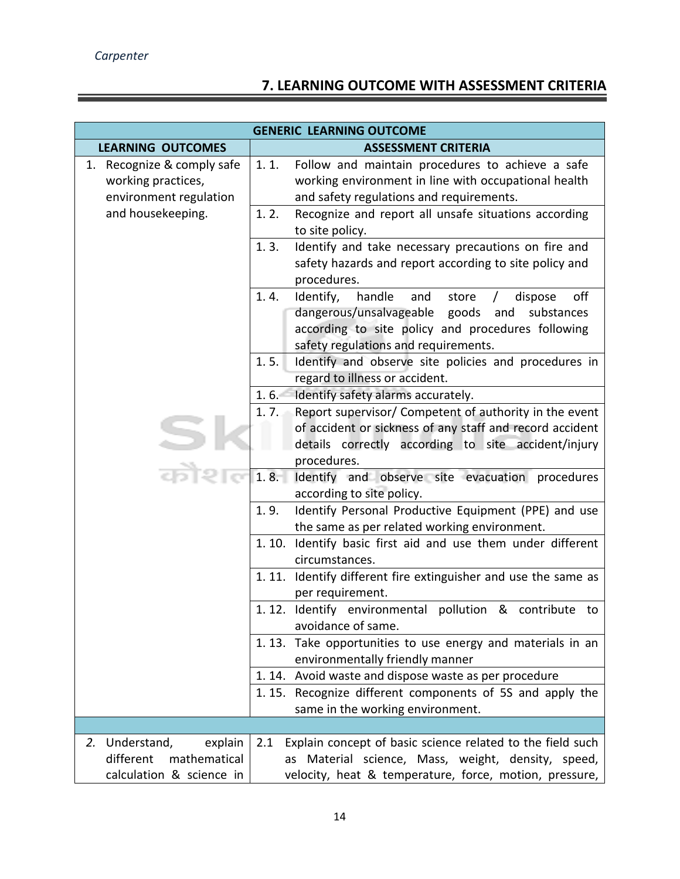## **7. LEARNING OUTCOME WITH ASSESSMENT CRITERIA**

|                                                                                       | <b>GENERIC LEARNING OUTCOME</b>                                                                                                                                                                                  |  |
|---------------------------------------------------------------------------------------|------------------------------------------------------------------------------------------------------------------------------------------------------------------------------------------------------------------|--|
| <b>LEARNING OUTCOMES</b>                                                              | <b>ASSESSMENT CRITERIA</b>                                                                                                                                                                                       |  |
| 1. Recognize & comply safe<br>working practices,<br>environment regulation            | 1.1.<br>Follow and maintain procedures to achieve a safe<br>working environment in line with occupational health<br>and safety regulations and requirements.                                                     |  |
| and housekeeping.                                                                     | 1.2.<br>Recognize and report all unsafe situations according<br>to site policy.                                                                                                                                  |  |
|                                                                                       | 1.3.<br>Identify and take necessary precautions on fire and<br>safety hazards and report according to site policy and<br>procedures.                                                                             |  |
|                                                                                       | 1.4.<br>Identify,<br>handle<br>off<br>and<br>store<br>dispose<br>dangerous/unsalvageable<br>goods and<br>substances<br>according to site policy and procedures following<br>safety regulations and requirements. |  |
|                                                                                       | Identify and observe site policies and procedures in<br>1.5.<br>regard to illness or accident.                                                                                                                   |  |
|                                                                                       | Identify safety alarms accurately.<br>$1.6 -$                                                                                                                                                                    |  |
|                                                                                       | Report supervisor/ Competent of authority in the event<br>1.7.<br>of accident or sickness of any staff and record accident<br>details correctly according to site accident/injury<br>procedures.                 |  |
|                                                                                       | 1.8.<br>Identify and observe site evacuation procedures<br>according to site policy.                                                                                                                             |  |
|                                                                                       | 1.9.<br>Identify Personal Productive Equipment (PPE) and use<br>the same as per related working environment.                                                                                                     |  |
|                                                                                       | 1.10. Identify basic first aid and use them under different<br>circumstances.                                                                                                                                    |  |
|                                                                                       | 1.11. Identify different fire extinguisher and use the same as<br>per requirement.                                                                                                                               |  |
|                                                                                       | 1.12. Identify environmental pollution & contribute to<br>avoidance of same.                                                                                                                                     |  |
|                                                                                       | 1.13. Take opportunities to use energy and materials in an<br>environmentally friendly manner                                                                                                                    |  |
|                                                                                       | 1.14. Avoid waste and dispose waste as per procedure                                                                                                                                                             |  |
|                                                                                       | 1.15. Recognize different components of 5S and apply the<br>same in the working environment.                                                                                                                     |  |
|                                                                                       |                                                                                                                                                                                                                  |  |
| Understand,<br>2.<br>explain<br>different<br>mathematical<br>calculation & science in | Explain concept of basic science related to the field such<br>2.1<br>Material science, Mass, weight, density, speed,<br>as<br>velocity, heat & temperature, force, motion, pressure,                             |  |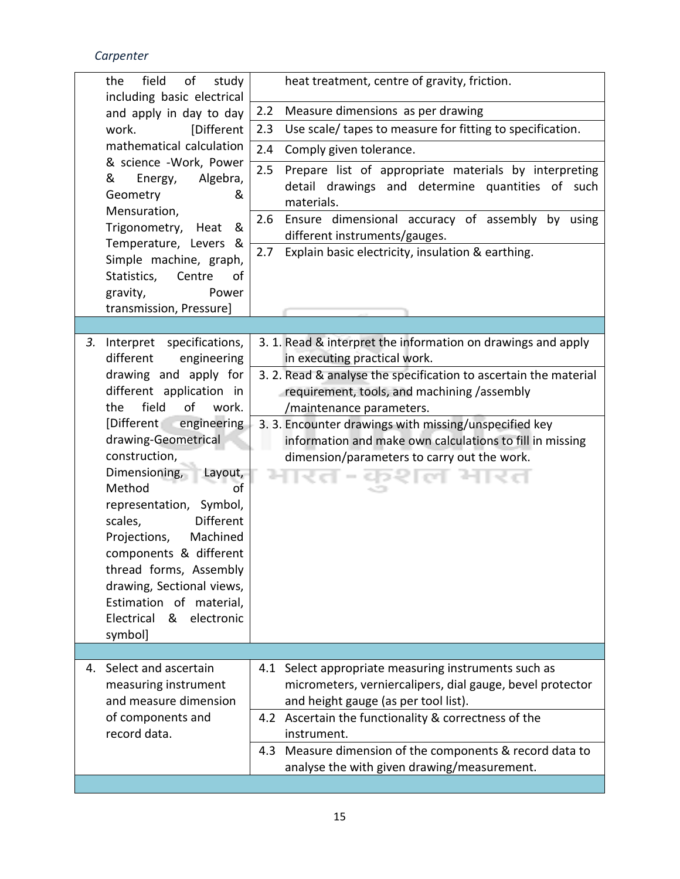|    | of<br>the<br>field<br>study                                                                                                                                                                                                                                                                                                                                                                                                                            | heat treatment, centre of gravity, friction.                                                                                                                                                                                                                                                                                        |
|----|--------------------------------------------------------------------------------------------------------------------------------------------------------------------------------------------------------------------------------------------------------------------------------------------------------------------------------------------------------------------------------------------------------------------------------------------------------|-------------------------------------------------------------------------------------------------------------------------------------------------------------------------------------------------------------------------------------------------------------------------------------------------------------------------------------|
|    | including basic electrical<br>and apply in day to day                                                                                                                                                                                                                                                                                                                                                                                                  | Measure dimensions as per drawing<br>2.2                                                                                                                                                                                                                                                                                            |
|    | [Different<br>work.                                                                                                                                                                                                                                                                                                                                                                                                                                    | Use scale/ tapes to measure for fitting to specification.<br>2.3                                                                                                                                                                                                                                                                    |
|    | mathematical calculation                                                                                                                                                                                                                                                                                                                                                                                                                               | 2.4<br>Comply given tolerance.                                                                                                                                                                                                                                                                                                      |
|    | & science -Work, Power                                                                                                                                                                                                                                                                                                                                                                                                                                 |                                                                                                                                                                                                                                                                                                                                     |
|    | &<br>Algebra,<br>Energy,<br>Geometry<br>&<br>Mensuration,                                                                                                                                                                                                                                                                                                                                                                                              | 2.5<br>Prepare list of appropriate materials by interpreting<br>detail drawings and determine quantities of such<br>materials.                                                                                                                                                                                                      |
|    | Trigonometry,<br>&<br>Heat<br>Temperature, Levers &                                                                                                                                                                                                                                                                                                                                                                                                    | Ensure dimensional accuracy of assembly by using<br>2.6<br>different instruments/gauges.                                                                                                                                                                                                                                            |
|    | Simple machine, graph,<br>Statistics,<br>Centre<br>οf<br>gravity,<br>Power                                                                                                                                                                                                                                                                                                                                                                             | Explain basic electricity, insulation & earthing.<br>2.7                                                                                                                                                                                                                                                                            |
|    | transmission, Pressure]                                                                                                                                                                                                                                                                                                                                                                                                                                |                                                                                                                                                                                                                                                                                                                                     |
|    |                                                                                                                                                                                                                                                                                                                                                                                                                                                        |                                                                                                                                                                                                                                                                                                                                     |
| 3. | Interpret specifications,<br>different<br>engineering                                                                                                                                                                                                                                                                                                                                                                                                  | 3. 1. Read & interpret the information on drawings and apply<br>in executing practical work.                                                                                                                                                                                                                                        |
|    | drawing and apply for<br>different application in<br>field<br>of<br>the<br>work.<br>engineering<br>[Different]<br>drawing-Geometrical<br>construction,<br>Dimensioning,<br>Layout,<br>Method<br>$\overline{of}$<br>representation, Symbol,<br>scales,<br>Different<br>Machined<br>Projections,<br>components & different<br>thread forms, Assembly<br>drawing, Sectional views,<br>Estimation of material,<br>Electrical<br>electronic<br>&<br>symbol] | 3. 2. Read & analyse the specification to ascertain the material<br>requirement, tools, and machining /assembly<br>/maintenance parameters.<br>3. 3. Encounter drawings with missing/unspecified key<br>information and make own calculations to fill in missing<br>dimension/parameters to carry out the work.<br>ਟਾਨ <i>ਾ</i> Ted |
|    |                                                                                                                                                                                                                                                                                                                                                                                                                                                        |                                                                                                                                                                                                                                                                                                                                     |
|    | 4. Select and ascertain<br>measuring instrument<br>and measure dimension                                                                                                                                                                                                                                                                                                                                                                               | 4.1 Select appropriate measuring instruments such as<br>micrometers, verniercalipers, dial gauge, bevel protector<br>and height gauge (as per tool list).                                                                                                                                                                           |
|    | of components and<br>record data.                                                                                                                                                                                                                                                                                                                                                                                                                      | 4.2 Ascertain the functionality & correctness of the<br>instrument.                                                                                                                                                                                                                                                                 |
|    |                                                                                                                                                                                                                                                                                                                                                                                                                                                        | Measure dimension of the components & record data to<br>4.3<br>analyse the with given drawing/measurement.                                                                                                                                                                                                                          |
|    |                                                                                                                                                                                                                                                                                                                                                                                                                                                        |                                                                                                                                                                                                                                                                                                                                     |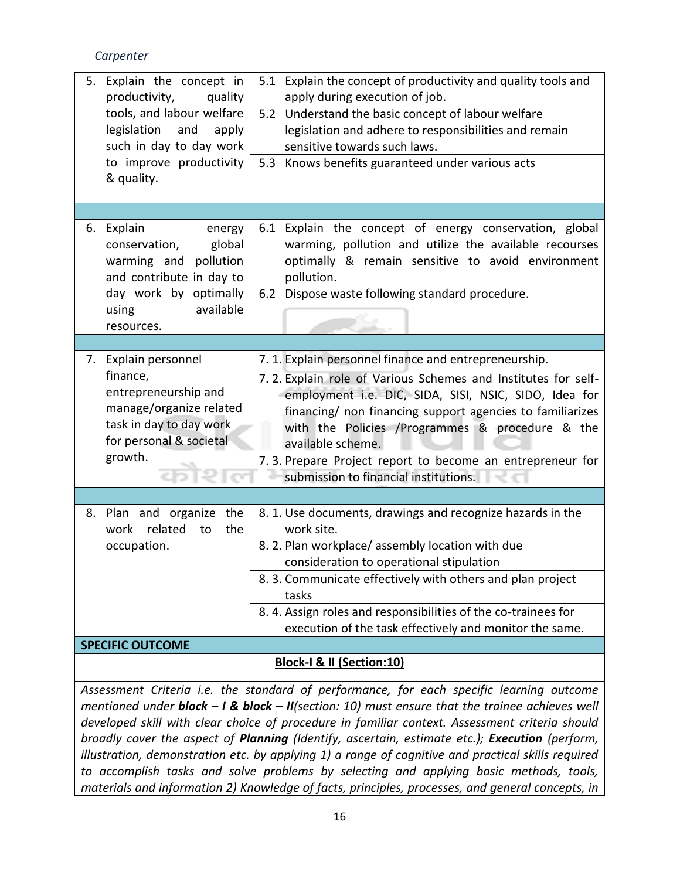| 5. | Explain the concept in                             | 5.1 Explain the concept of productivity and quality tools and                                      |  |  |  |
|----|----------------------------------------------------|----------------------------------------------------------------------------------------------------|--|--|--|
|    | productivity,<br>quality                           | apply during execution of job.                                                                     |  |  |  |
|    | tools, and labour welfare                          | 5.2 Understand the basic concept of labour welfare                                                 |  |  |  |
|    | legislation<br>and<br>apply                        | legislation and adhere to responsibilities and remain                                              |  |  |  |
|    | such in day to day work                            | sensitive towards such laws.                                                                       |  |  |  |
|    | to improve productivity                            | Knows benefits guaranteed under various acts<br>5.3                                                |  |  |  |
|    | & quality.                                         |                                                                                                    |  |  |  |
|    |                                                    |                                                                                                    |  |  |  |
| 6. | Explain<br>energy                                  | 6.1 Explain the concept of energy conservation, global                                             |  |  |  |
|    | global<br>conservation,                            | warming, pollution and utilize the available recourses                                             |  |  |  |
|    | warming and<br>pollution                           | optimally & remain sensitive to avoid environment                                                  |  |  |  |
|    | and contribute in day to                           | pollution.                                                                                         |  |  |  |
|    | day work by optimally                              | 6.2 Dispose waste following standard procedure.                                                    |  |  |  |
|    | available<br>using                                 |                                                                                                    |  |  |  |
|    | resources.                                         |                                                                                                    |  |  |  |
|    |                                                    |                                                                                                    |  |  |  |
| 7. | Explain personnel                                  | 7. 1. Explain personnel finance and entrepreneurship.                                              |  |  |  |
|    | finance,                                           | 7.2. Explain role of Various Schemes and Institutes for self-                                      |  |  |  |
|    | entrepreneurship and                               | employment i.e. DIC, SIDA, SISI, NSIC, SIDO, Idea for                                              |  |  |  |
|    | manage/organize related                            | financing/ non financing support agencies to familiarizes                                          |  |  |  |
|    | task in day to day work<br>for personal & societal | with the Policies /Programmes & procedure & the                                                    |  |  |  |
|    | growth.                                            | available scheme.                                                                                  |  |  |  |
|    |                                                    | 7.3. Prepare Project report to become an entrepreneur for<br>submission to financial institutions. |  |  |  |
|    |                                                    |                                                                                                    |  |  |  |
|    |                                                    |                                                                                                    |  |  |  |
| 8. | Plan and organize<br>the<br>related                | 8. 1. Use documents, drawings and recognize hazards in the<br>work site.                           |  |  |  |
|    | the<br>work<br>to<br>occupation.                   | 8. 2. Plan workplace/assembly location with due                                                    |  |  |  |
|    |                                                    | consideration to operational stipulation                                                           |  |  |  |
|    |                                                    | 8. 3. Communicate effectively with others and plan project                                         |  |  |  |
|    |                                                    | tasks                                                                                              |  |  |  |
|    |                                                    | 8.4. Assign roles and responsibilities of the co-trainees for                                      |  |  |  |
|    |                                                    | execution of the task effectively and monitor the same.                                            |  |  |  |
|    | <b>SPECIFIC OUTCOME</b>                            |                                                                                                    |  |  |  |
|    |                                                    | Block-I & II (Section:10)                                                                          |  |  |  |
|    |                                                    |                                                                                                    |  |  |  |

*Assessment Criteria i.e. the standard of performance, for each specific learning outcome mentioned under block – I & block – II(section: 10) must ensure that the trainee achieves well developed skill with clear choice of procedure in familiar context. Assessment criteria should broadly cover the aspect of Planning (Identify, ascertain, estimate etc.); Execution (perform, illustration, demonstration etc. by applying 1) a range of cognitive and practical skills required to accomplish tasks and solve problems by selecting and applying basic methods, tools, materials and information 2) Knowledge of facts, principles, processes, and general concepts, in*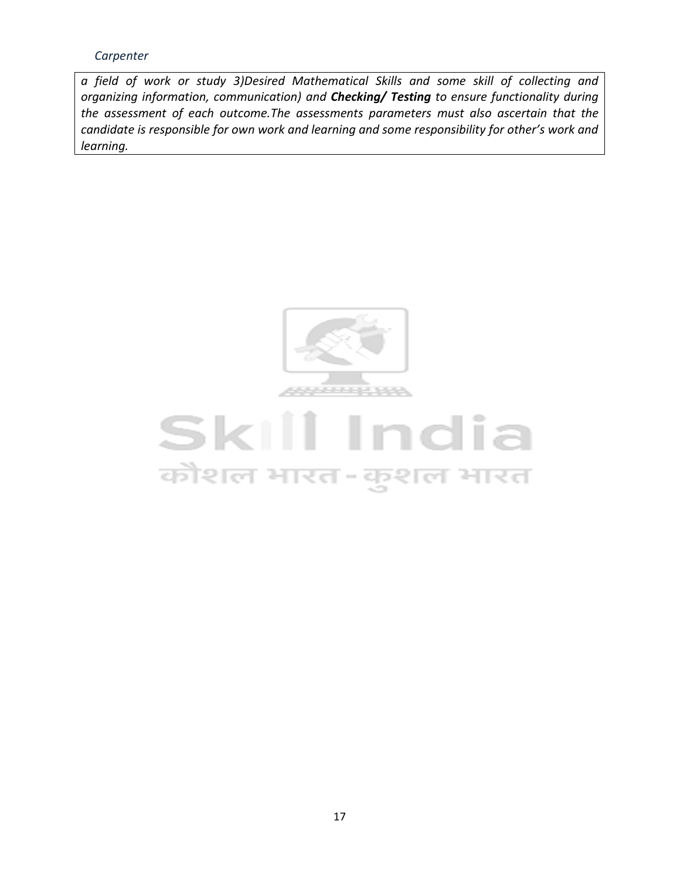*a field of work or study 3)Desired Mathematical Skills and some skill of collecting and organizing information, communication) and Checking/ Testing to ensure functionality during the assessment of each outcome.The assessments parameters must also ascertain that the candidate is responsible for own work and learning and some responsibility for other's work and learning.*



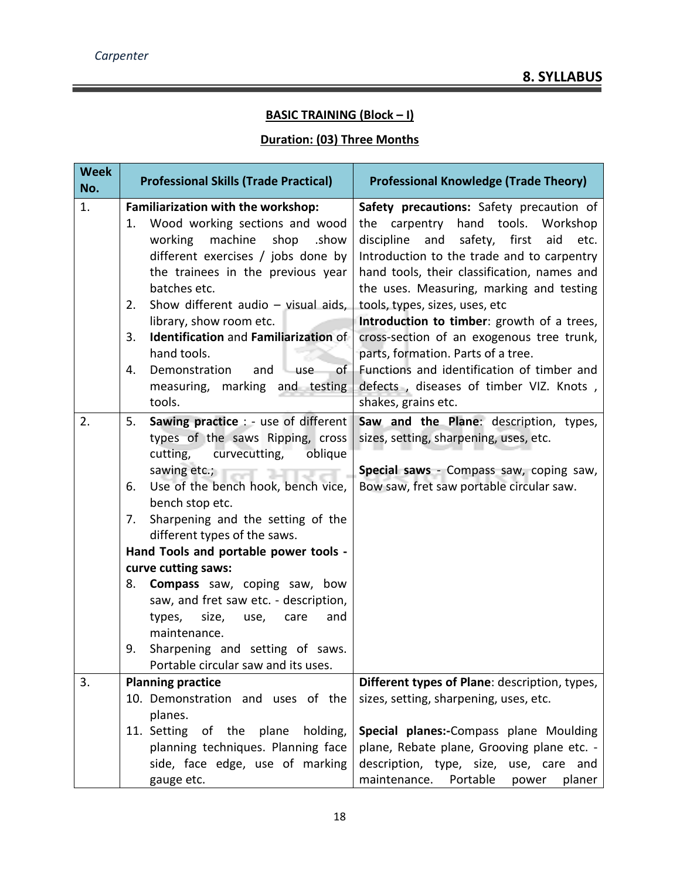#### **BASIC TRAINING (Block – I)**

#### **Duration: (03) Three Months**

| <b>Week</b><br>No. | <b>Professional Skills (Trade Practical)</b>                                                                                                                                                                                                                                                                                                                                                                                                                                                                                                                                            | <b>Professional Knowledge (Trade Theory)</b>                                                                                                                                                                                                                                                                                                                                                                                                    |
|--------------------|-----------------------------------------------------------------------------------------------------------------------------------------------------------------------------------------------------------------------------------------------------------------------------------------------------------------------------------------------------------------------------------------------------------------------------------------------------------------------------------------------------------------------------------------------------------------------------------------|-------------------------------------------------------------------------------------------------------------------------------------------------------------------------------------------------------------------------------------------------------------------------------------------------------------------------------------------------------------------------------------------------------------------------------------------------|
| 1.                 | Familiarization with the workshop:<br>Wood working sections and wood<br>1.<br>working<br>machine<br>shop<br>.show<br>different exercises / jobs done by<br>the trainees in the previous year<br>batches etc.<br>Show different audio - visual aids,<br>2.<br>library, show room etc.<br>Identification and Familiarization of<br>3.<br>hand tools.                                                                                                                                                                                                                                      | Safety precautions: Safety precaution of<br>the carpentry hand tools. Workshop<br>discipline<br>safety, first<br>and<br>aid<br>etc.<br>Introduction to the trade and to carpentry<br>hand tools, their classification, names and<br>the uses. Measuring, marking and testing<br>tools, types, sizes, uses, etc<br>Introduction to timber: growth of a trees,<br>cross-section of an exogenous tree trunk,<br>parts, formation. Parts of a tree. |
|                    | Demonstration<br>of<br>and<br>use<br>4.<br>measuring, marking and testing<br>tools.                                                                                                                                                                                                                                                                                                                                                                                                                                                                                                     | Functions and identification of timber and<br>defects, diseases of timber VIZ. Knots,<br>shakes, grains etc.                                                                                                                                                                                                                                                                                                                                    |
| 2.                 | <b>Sawing practice : - use of different</b><br>5.<br>types of the saws Ripping, cross<br>cutting,<br>curvecutting,<br>oblique<br>sawing etc.;<br>Use of the bench hook, bench vice,<br>6.<br>bench stop etc.<br>Sharpening and the setting of the<br>7.<br>different types of the saws.<br>Hand Tools and portable power tools -<br>curve cutting saws:<br><b>Compass</b> saw, coping saw, bow<br>8.<br>saw, and fret saw etc. - description,<br>size,<br>types,<br>use,<br>care<br>and<br>maintenance.<br>Sharpening and setting of saws.<br>9.<br>Portable circular saw and its uses. | Saw and the Plane: description, types,<br>sizes, setting, sharpening, uses, etc.<br>Special saws - Compass saw, coping saw,<br>Bow saw, fret saw portable circular saw.                                                                                                                                                                                                                                                                         |
| 3.                 | <b>Planning practice</b><br>10. Demonstration and uses of the<br>planes.<br>11. Setting of the plane<br>holding,<br>planning techniques. Planning face<br>side, face edge, use of marking<br>gauge etc.                                                                                                                                                                                                                                                                                                                                                                                 | Different types of Plane: description, types,<br>sizes, setting, sharpening, uses, etc.<br>Special planes:-Compass plane Moulding<br>plane, Rebate plane, Grooving plane etc. -<br>description, type, size, use, care and<br>maintenance.<br>Portable<br>planer<br>power                                                                                                                                                                        |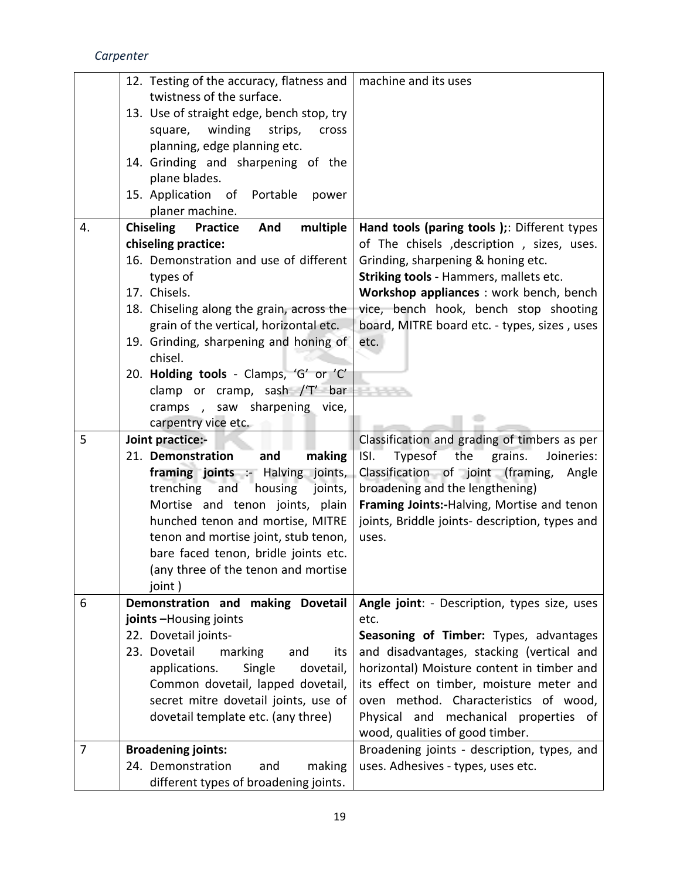|    | 12. Testing of the accuracy, flatness and<br>twistness of the surface.<br>13. Use of straight edge, bench stop, try<br>winding<br>square,<br>strips,<br>cross<br>planning, edge planning etc.<br>14. Grinding and sharpening of the | machine and its uses                                                                    |
|----|-------------------------------------------------------------------------------------------------------------------------------------------------------------------------------------------------------------------------------------|-----------------------------------------------------------------------------------------|
|    | plane blades.<br>15. Application of Portable<br>power<br>planer machine.                                                                                                                                                            |                                                                                         |
| 4. | <b>Chiseling</b><br>multiple<br><b>Practice</b><br>And                                                                                                                                                                              | Hand tools (paring tools);: Different types                                             |
|    | chiseling practice:                                                                                                                                                                                                                 | of The chisels , description, sizes, uses.                                              |
|    | 16. Demonstration and use of different                                                                                                                                                                                              | Grinding, sharpening & honing etc.                                                      |
|    | types of                                                                                                                                                                                                                            | Striking tools - Hammers, mallets etc.                                                  |
|    | 17. Chisels.                                                                                                                                                                                                                        | Workshop appliances : work bench, bench                                                 |
|    | 18. Chiseling along the grain, across the                                                                                                                                                                                           | vice, bench hook, bench stop shooting                                                   |
|    | grain of the vertical, horizontal etc.                                                                                                                                                                                              | board, MITRE board etc. - types, sizes, uses                                            |
|    | 19. Grinding, sharpening and honing of                                                                                                                                                                                              | etc.                                                                                    |
|    | chisel.                                                                                                                                                                                                                             |                                                                                         |
|    | 20. Holding tools - Clamps, 'G' or 'C'                                                                                                                                                                                              |                                                                                         |
|    | clamp or cramp, sash /'T' bar<br>cramps, saw sharpening vice,                                                                                                                                                                       |                                                                                         |
|    | carpentry vice etc.                                                                                                                                                                                                                 |                                                                                         |
| 5  | Joint practice:-                                                                                                                                                                                                                    | Classification and grading of timbers as per                                            |
|    | 21. Demonstration<br>making<br>and                                                                                                                                                                                                  | Typesof<br>the<br>grains.<br>Joineries:<br>ISI.                                         |
|    | framing joints :- Halving joints,                                                                                                                                                                                                   | Classification of joint (framing,<br>Angle                                              |
|    | trenching<br>housing<br>and<br>joints,                                                                                                                                                                                              | broadening and the lengthening)                                                         |
|    | Mortise and tenon joints, plain                                                                                                                                                                                                     | Framing Joints:-Halving, Mortise and tenon                                              |
|    | hunched tenon and mortise, MITRE                                                                                                                                                                                                    | joints, Briddle joints- description, types and                                          |
|    | tenon and mortise joint, stub tenon,                                                                                                                                                                                                | uses.                                                                                   |
|    | bare faced tenon, bridle joints etc.                                                                                                                                                                                                |                                                                                         |
|    | (any three of the tenon and mortise                                                                                                                                                                                                 |                                                                                         |
|    | joint)                                                                                                                                                                                                                              |                                                                                         |
| 6  | Demonstration and making Dovetail                                                                                                                                                                                                   | Angle joint: - Description, types size, uses                                            |
|    | joints-Housing joints                                                                                                                                                                                                               | etc.                                                                                    |
|    | 22. Dovetail joints-<br>23. Dovetail                                                                                                                                                                                                | Seasoning of Timber: Types, advantages                                                  |
|    | marking<br>and<br>its<br>applications.<br>Single<br>dovetail,                                                                                                                                                                       | and disadvantages, stacking (vertical and<br>horizontal) Moisture content in timber and |
|    | Common dovetail, lapped dovetail,                                                                                                                                                                                                   | its effect on timber, moisture meter and                                                |
|    | secret mitre dovetail joints, use of                                                                                                                                                                                                | oven method. Characteristics of wood,                                                   |
|    |                                                                                                                                                                                                                                     |                                                                                         |
|    | dovetail template etc. (any three)                                                                                                                                                                                                  | Physical and mechanical properties of                                                   |
|    |                                                                                                                                                                                                                                     | wood, qualities of good timber.                                                         |
| 7  | <b>Broadening joints:</b>                                                                                                                                                                                                           | Broadening joints - description, types, and                                             |
|    | 24. Demonstration<br>making<br>and                                                                                                                                                                                                  | uses. Adhesives - types, uses etc.                                                      |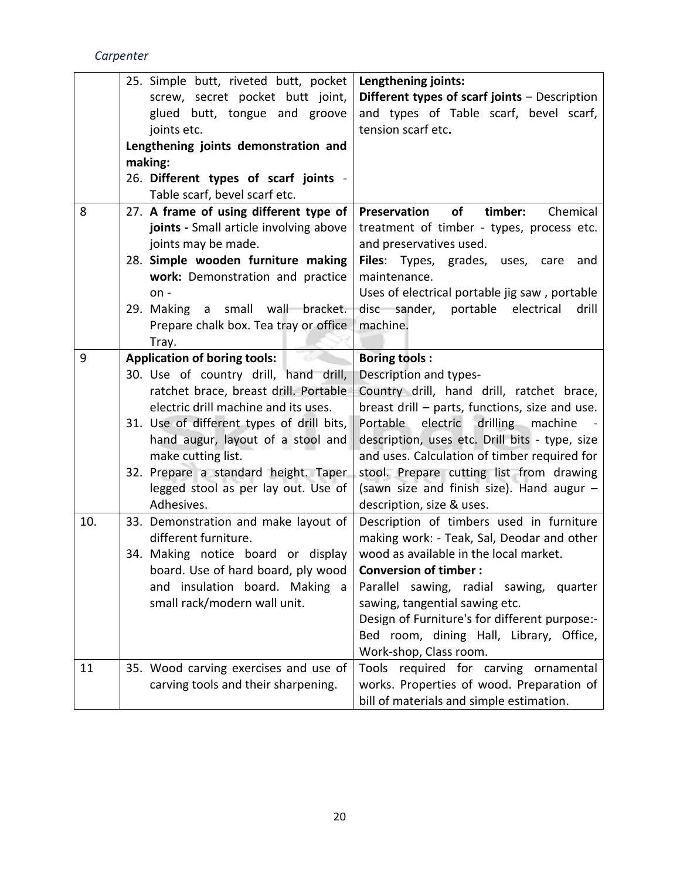|     | 25. Simple butt, riveted butt, pocket     | Lengthening joints:                             |
|-----|-------------------------------------------|-------------------------------------------------|
|     | screw, secret pocket butt joint,          | Different types of scarf joints - Description   |
|     | glued butt, tongue and groove             | and types of Table scarf, bevel scarf,          |
|     | joints etc.                               | tension scarf etc.                              |
|     | Lengthening joints demonstration and      |                                                 |
|     | making:                                   |                                                 |
|     | 26. Different types of scarf joints -     |                                                 |
|     | Table scarf, bevel scarf etc.             |                                                 |
| 8   | 27. A frame of using different type of    | Preservation<br>of<br>timber:<br>Chemical       |
|     | joints - Small article involving above    | treatment of timber - types, process etc.       |
|     | joints may be made.                       | and preservatives used.                         |
|     | 28. Simple wooden furniture making        | Files: Types, grades, uses, care<br>and         |
|     | work: Demonstration and practice          | maintenance.                                    |
|     | $on -$                                    | Uses of electrical portable jig saw, portable   |
|     | a small wall bracket.<br>29. Making       | disc sander,<br>portable<br>electrical<br>drill |
|     | Prepare chalk box. Tea tray or office     | machine.                                        |
|     | Tray.                                     |                                                 |
| 9   | <b>Application of boring tools:</b>       | <b>Boring tools:</b>                            |
|     | 30. Use of country drill, hand drill,     | Description and types-                          |
|     | ratchet brace, breast drill. Portable     | Country drill, hand drill, ratchet brace,       |
|     | electric drill machine and its uses.      | breast drill - parts, functions, size and use.  |
|     | 31. Use of different types of drill bits, | Portable electric drilling machine              |
|     | hand augur, layout of a stool and         | description, uses etc. Drill bits - type, size  |
|     | make cutting list.                        | and uses. Calculation of timber required for    |
|     | 32. Prepare a standard height. Taper      | stool. Prepare cutting list from drawing        |
|     | legged stool as per lay out. Use of       | (sawn size and finish size). Hand augur -       |
|     | Adhesives.                                | description, size & uses.                       |
| 10. | 33. Demonstration and make layout of      | Description of timbers used in furniture        |
|     | different furniture.                      | making work: - Teak, Sal, Deodar and other      |
|     | 34. Making notice board or display        | wood as available in the local market.          |
|     | board. Use of hard board, ply wood        | <b>Conversion of timber:</b>                    |
|     | and insulation board. Making a            | Parallel sawing, radial sawing, quarter         |
|     | small rack/modern wall unit.              | sawing, tangential sawing etc.                  |
|     |                                           | Design of Furniture's for different purpose:-   |
|     |                                           | Bed room, dining Hall, Library, Office,         |
|     |                                           | Work-shop, Class room.                          |
| 11  | 35. Wood carving exercises and use of     | Tools required for carving ornamental           |
|     | carving tools and their sharpening.       | works. Properties of wood. Preparation of       |
|     |                                           | bill of materials and simple estimation.        |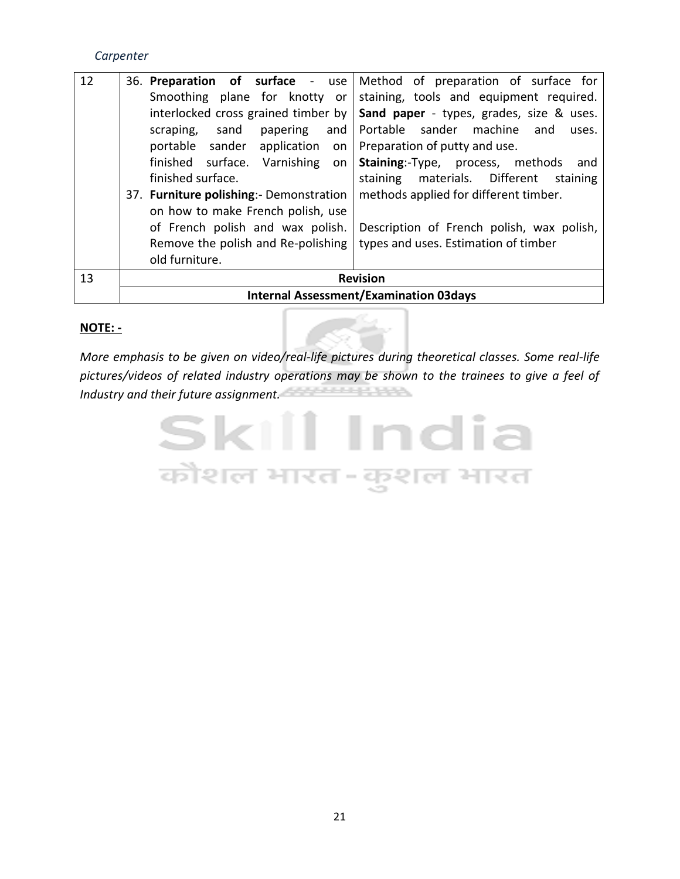| 12 |                                          | 36. Preparation of surface - use   Method of preparation of surface for |
|----|------------------------------------------|-------------------------------------------------------------------------|
|    |                                          | Smoothing plane for knotty or staining, tools and equipment required.   |
|    | interlocked cross grained timber by      | Sand paper - types, grades, size & uses.                                |
|    | and  <br>scraping, sand<br>papering      | Portable sander machine and<br>uses.                                    |
|    | portable sander application on           | Preparation of putty and use.                                           |
|    | finished surface. Varnishing on          | <b>Staining:-Type, process, methods</b><br>and                          |
|    | finished surface.                        | materials. Different<br>staining<br>staining                            |
|    | 37. Furniture polishing: - Demonstration | methods applied for different timber.                                   |
|    | on how to make French polish, use        |                                                                         |
|    | of French polish and wax polish.         | Description of French polish, wax polish,                               |
|    | Remove the polish and Re-polishing       | types and uses. Estimation of timber                                    |
|    | old furniture.                           |                                                                         |
| 13 |                                          | <b>Revision</b>                                                         |
|    |                                          | <b>Internal Assessment/Examination 03days</b>                           |

#### **NOTE: -**

*More emphasis to be given on video/real-life pictures during theoretical classes. Some real-life pictures/videos of related industry operations may be shown to the trainees to give a feel of Industry and their future assignment.*

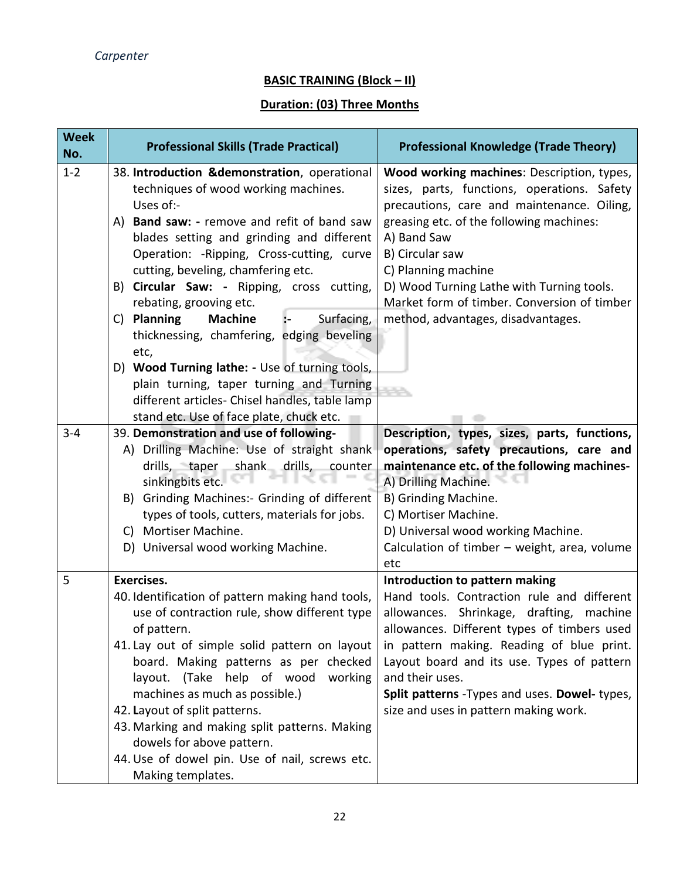#### **BASIC TRAINING (Block – II)**

#### **Duration: (03) Three Months**

| <b>Week</b><br>No. | <b>Professional Skills (Trade Practical)</b>                                                                                                                                                                                                                                                                                   | <b>Professional Knowledge (Trade Theory)</b>                                                                                                                                                                                                                                                                 |  |
|--------------------|--------------------------------------------------------------------------------------------------------------------------------------------------------------------------------------------------------------------------------------------------------------------------------------------------------------------------------|--------------------------------------------------------------------------------------------------------------------------------------------------------------------------------------------------------------------------------------------------------------------------------------------------------------|--|
| $1 - 2$            | 38. Introduction & demonstration, operational<br>techniques of wood working machines.<br>Uses of:-<br>A) Band saw: - remove and refit of band saw<br>blades setting and grinding and different                                                                                                                                 | Wood working machines: Description, types,<br>sizes, parts, functions, operations. Safety<br>precautions, care and maintenance. Oiling,<br>greasing etc. of the following machines:<br>A) Band Saw                                                                                                           |  |
|                    | Operation: - Ripping, Cross-cutting, curve<br>cutting, beveling, chamfering etc.<br>B) Circular Saw: - Ripping, cross cutting,                                                                                                                                                                                                 | B) Circular saw<br>C) Planning machine<br>D) Wood Turning Lathe with Turning tools.                                                                                                                                                                                                                          |  |
|                    | rebating, grooving etc.<br><b>Planning</b><br><b>Machine</b><br>Surfacing,<br>C)<br>thicknessing, chamfering, edging beveling                                                                                                                                                                                                  | Market form of timber. Conversion of timber<br>method, advantages, disadvantages.                                                                                                                                                                                                                            |  |
|                    | etc,<br>D) Wood Turning lathe: - Use of turning tools,<br>plain turning, taper turning and Turning<br>different articles- Chisel handles, table lamp                                                                                                                                                                           |                                                                                                                                                                                                                                                                                                              |  |
|                    | stand etc. Use of face plate, chuck etc.                                                                                                                                                                                                                                                                                       |                                                                                                                                                                                                                                                                                                              |  |
| $3 - 4$            | 39. Demonstration and use of following-<br>A) Drilling Machine: Use of straight shank<br>drills, taper shank drills,<br>counter<br>sinkingbits etc.<br><b>Grinding Machines:- Grinding of different</b><br>B)<br>types of tools, cutters, materials for jobs.<br>Mortiser Machine.<br>C)<br>D) Universal wood working Machine. | Description, types, sizes, parts, functions,<br>operations, safety precautions, care and<br>maintenance etc. of the following machines-<br>A) Drilling Machine.<br>B) Grinding Machine.<br>C) Mortiser Machine.<br>D) Universal wood working Machine.<br>Calculation of timber - weight, area, volume<br>etc |  |
| 5                  | <b>Exercises.</b><br>40. Identification of pattern making hand tools,<br>use of contraction rule, show different type<br>of pattern.<br>41. Lay out of simple solid pattern on layout<br>board. Making patterns as per checked<br>help of wood<br>layout. (Take<br>working                                                     | Introduction to pattern making<br>Hand tools. Contraction rule and different<br>allowances. Shrinkage, drafting,<br>machine<br>allowances. Different types of timbers used<br>in pattern making. Reading of blue print.<br>Layout board and its use. Types of pattern<br>and their uses.                     |  |
|                    | machines as much as possible.)<br>42. Layout of split patterns.<br>43. Marking and making split patterns. Making<br>dowels for above pattern.<br>44. Use of dowel pin. Use of nail, screws etc.<br>Making templates.                                                                                                           | Split patterns - Types and uses. Dowel- types,<br>size and uses in pattern making work.                                                                                                                                                                                                                      |  |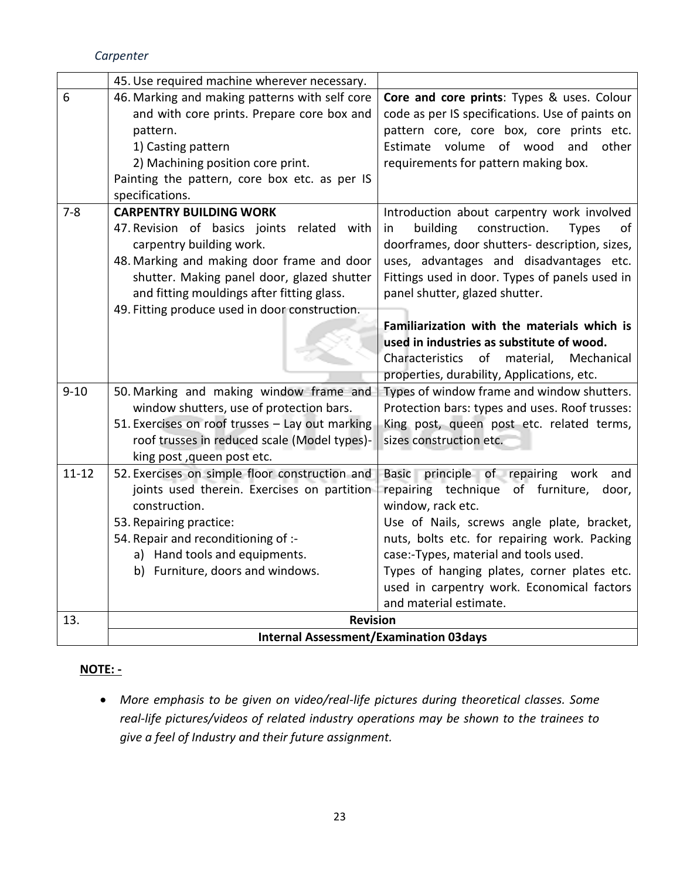|           | 45. Use required machine wherever necessary.    |                                                       |
|-----------|-------------------------------------------------|-------------------------------------------------------|
| 6         | 46. Marking and making patterns with self core  | Core and core prints: Types & uses. Colour            |
|           | and with core prints. Prepare core box and      | code as per IS specifications. Use of paints on       |
|           | pattern.                                        | pattern core, core box, core prints etc.              |
|           | 1) Casting pattern                              | Estimate volume of wood<br>and<br>other               |
|           | 2) Machining position core print.               | requirements for pattern making box.                  |
|           | Painting the pattern, core box etc. as per IS   |                                                       |
|           | specifications.                                 |                                                       |
| $7 - 8$   | <b>CARPENTRY BUILDING WORK</b>                  | Introduction about carpentry work involved            |
|           | 47. Revision of basics joints related with      | building<br>construction.<br>in<br><b>Types</b><br>of |
|           | carpentry building work.                        | doorframes, door shutters- description, sizes,        |
|           | 48. Marking and making door frame and door      | uses, advantages and disadvantages etc.               |
|           | shutter. Making panel door, glazed shutter      | Fittings used in door. Types of panels used in        |
|           | and fitting mouldings after fitting glass.      | panel shutter, glazed shutter.                        |
|           | 49. Fitting produce used in door construction.  |                                                       |
|           |                                                 | Familiarization with the materials which is           |
|           |                                                 | used in industries as substitute of wood.             |
|           |                                                 | Characteristics of<br>material,<br>Mechanical         |
|           |                                                 | properties, durability, Applications, etc.            |
| $9 - 10$  | 50. Marking and making window frame and         | Types of window frame and window shutters.            |
|           | window shutters, use of protection bars.        | Protection bars: types and uses. Roof trusses:        |
|           | 51. Exercises on roof trusses - Lay out marking | King post, queen post etc. related terms,             |
|           | roof trusses in reduced scale (Model types)-    | sizes construction etc.                               |
|           | king post, queen post etc.                      |                                                       |
| $11 - 12$ | 52. Exercises on simple floor construction and  | principle of repairing work<br>Basic<br>and           |
|           | joints used therein. Exercises on partition     | repairing technique of furniture,<br>door,            |
|           | construction.                                   | window, rack etc.                                     |
|           | 53. Repairing practice:                         | Use of Nails, screws angle plate, bracket,            |
|           | 54. Repair and reconditioning of :-             | nuts, bolts etc. for repairing work. Packing          |
|           | a) Hand tools and equipments.                   | case:-Types, material and tools used.                 |
|           | b) Furniture, doors and windows.                | Types of hanging plates, corner plates etc.           |
|           |                                                 | used in carpentry work. Economical factors            |
|           |                                                 | and material estimate.                                |
| 13.       | <b>Revision</b>                                 |                                                       |
|           | <b>Internal Assessment/Examination 03days</b>   |                                                       |

#### **NOTE: -**

• *More emphasis to be given on video/real-life pictures during theoretical classes. Some real-life pictures/videos of related industry operations may be shown to the trainees to give a feel of Industry and their future assignment.*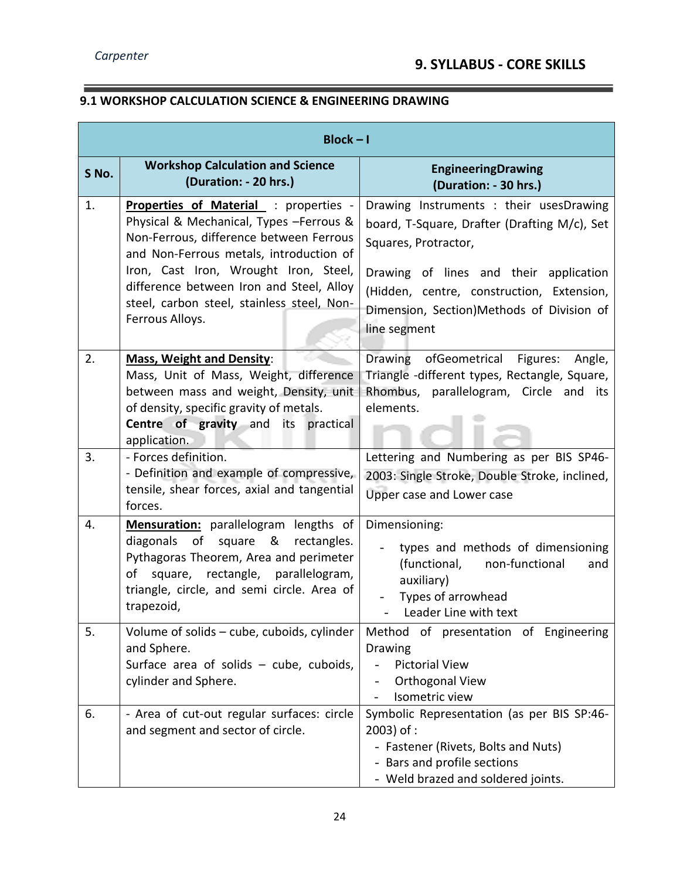$\overline{\phantom{a}}$ 

 $\overline{\phantom{a}}$ 

#### **9.1 WORKSHOP CALCULATION SCIENCE & ENGINEERING DRAWING**

| $Block - I$ |                                                                                                                                                                                                                                                                                                                                      |                                                                                                                                                                                                                                                                     |
|-------------|--------------------------------------------------------------------------------------------------------------------------------------------------------------------------------------------------------------------------------------------------------------------------------------------------------------------------------------|---------------------------------------------------------------------------------------------------------------------------------------------------------------------------------------------------------------------------------------------------------------------|
| S No.       | <b>Workshop Calculation and Science</b><br>(Duration: - 20 hrs.)                                                                                                                                                                                                                                                                     | <b>EngineeringDrawing</b><br>(Duration: - 30 hrs.)                                                                                                                                                                                                                  |
| 1.          | <b>Properties of Material : properties -</b><br>Physical & Mechanical, Types - Ferrous &<br>Non-Ferrous, difference between Ferrous<br>and Non-Ferrous metals, introduction of<br>Iron, Cast Iron, Wrought Iron, Steel,<br>difference between Iron and Steel, Alloy<br>steel, carbon steel, stainless steel, Non-<br>Ferrous Alloys. | Drawing Instruments : their usesDrawing<br>board, T-Square, Drafter (Drafting M/c), Set<br>Squares, Protractor,<br>Drawing of lines and their application<br>(Hidden, centre, construction, Extension,<br>Dimension, Section)Methods of Division of<br>line segment |
| 2.          | <b>Mass, Weight and Density:</b><br>Mass, Unit of Mass, Weight, difference<br>between mass and weight, Density, unit<br>of density, specific gravity of metals.<br><b>Centre of gravity and</b><br>its<br>practical<br>application.                                                                                                  | Drawing<br>ofGeometrical Figures:<br>Angle,<br>Triangle -different types, Rectangle, Square,<br>Rhombus, parallelogram, Circle and its<br>elements.                                                                                                                 |
| 3.          | - Forces definition.<br>- Definition and example of compressive,<br>tensile, shear forces, axial and tangential<br>forces.                                                                                                                                                                                                           | Lettering and Numbering as per BIS SP46-<br>2003: Single Stroke, Double Stroke, inclined,<br>Upper case and Lower case                                                                                                                                              |
| 4.          | Mensuration: parallelogram lengths of<br>of<br>&<br>diagonals<br>square<br>rectangles.<br>Pythagoras Theorem, Area and perimeter<br>square, rectangle, parallelogram,<br>of<br>triangle, circle, and semi circle. Area of<br>trapezoid,                                                                                              | Dimensioning:<br>types and methods of dimensioning<br>(functional, non-functional<br>and<br>auxiliary)<br>Types of arrowhead<br>Leader Line with text                                                                                                               |
| 5.          | Volume of solids – cube, cuboids, cylinder<br>and Sphere.<br>Surface area of solids $-$ cube, cuboids,<br>cylinder and Sphere.                                                                                                                                                                                                       | Method of presentation of Engineering<br>Drawing<br><b>Pictorial View</b><br>Orthogonal View<br>$\overline{\phantom{a}}$<br>Isometric view                                                                                                                          |
| 6.          | - Area of cut-out regular surfaces: circle<br>and segment and sector of circle.                                                                                                                                                                                                                                                      | Symbolic Representation (as per BIS SP:46-<br>$2003$ ) of :<br>- Fastener (Rivets, Bolts and Nuts)<br>- Bars and profile sections<br>- Weld brazed and soldered joints.                                                                                             |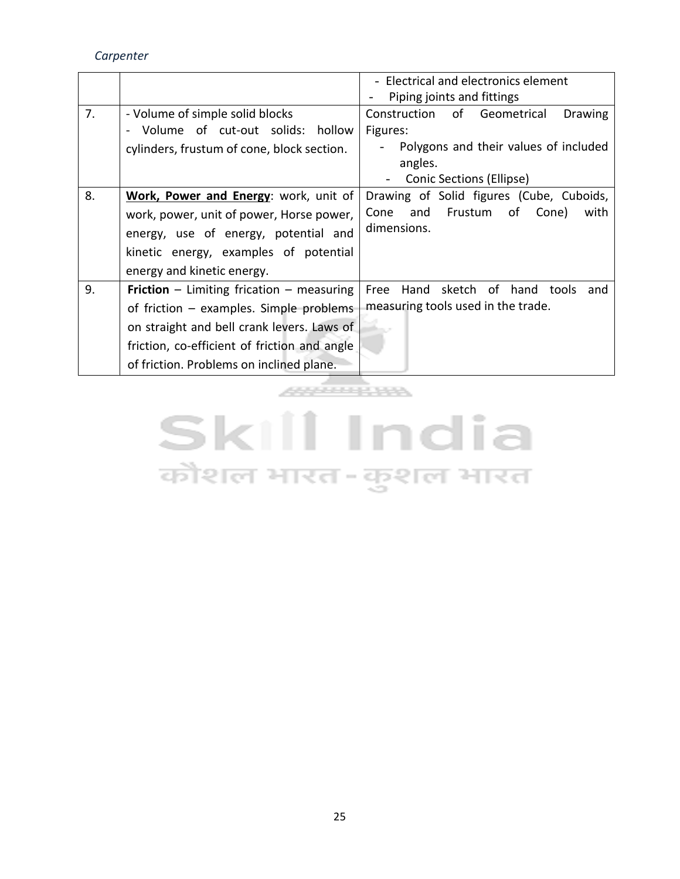*Carpenter*

|    |                                                                                                                                                                                                                                         | - Electrical and electronics element<br>Piping joints and fittings                                                                        |
|----|-----------------------------------------------------------------------------------------------------------------------------------------------------------------------------------------------------------------------------------------|-------------------------------------------------------------------------------------------------------------------------------------------|
| 7. | - Volume of simple solid blocks<br>Volume of cut-out solids: hollow<br>cylinders, frustum of cone, block section.                                                                                                                       | Construction of Geometrical<br><b>Drawing</b><br>Figures:<br>Polygons and their values of included<br>angles.<br>Conic Sections (Ellipse) |
| 8. | Work, Power and Energy: work, unit of<br>work, power, unit of power, Horse power,<br>energy, use of energy, potential and<br>kinetic energy, examples of potential<br>energy and kinetic energy.                                        | Drawing of Solid figures (Cube, Cuboids,<br>Frustum<br>Cone<br>and<br>Cone)<br>of<br>with<br>dimensions.                                  |
| 9. | <b>Friction</b> – Limiting frication – measuring<br>of friction $-$ examples. Simple problems<br>on straight and bell crank levers. Laws of<br>friction, co-efficient of friction and angle<br>of friction. Problems on inclined plane. | Hand sketch of hand tools<br>Free<br>and<br>measuring tools used in the trade.                                                            |
|    |                                                                                                                                                                                                                                         |                                                                                                                                           |

# **Skill India** कौशल भारत-कुशल भारत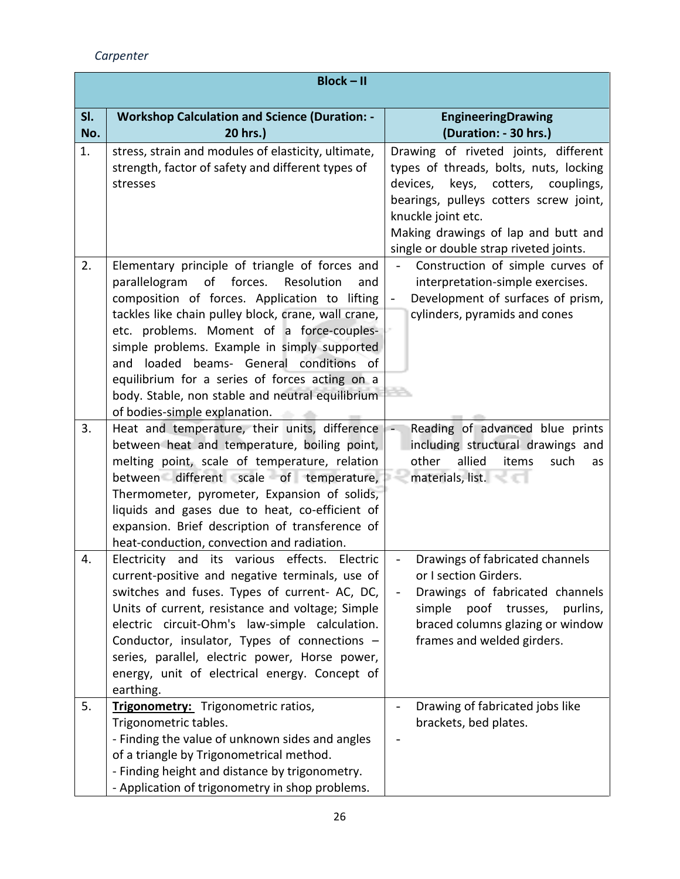*Carpenter*

|            | $Block - II$                                                                                                                                                                                                                                                                                                                                                                                                                                                                                    |                                                                                                                                                                                                                                                                       |
|------------|-------------------------------------------------------------------------------------------------------------------------------------------------------------------------------------------------------------------------------------------------------------------------------------------------------------------------------------------------------------------------------------------------------------------------------------------------------------------------------------------------|-----------------------------------------------------------------------------------------------------------------------------------------------------------------------------------------------------------------------------------------------------------------------|
| SI.<br>No. | <b>Workshop Calculation and Science (Duration: -</b><br>20 hrs.)                                                                                                                                                                                                                                                                                                                                                                                                                                | <b>EngineeringDrawing</b><br>(Duration: - 30 hrs.)                                                                                                                                                                                                                    |
| 1.         | stress, strain and modules of elasticity, ultimate,<br>strength, factor of safety and different types of<br>stresses                                                                                                                                                                                                                                                                                                                                                                            | Drawing of riveted joints, different<br>types of threads, bolts, nuts, locking<br>devices, keys, cotters, couplings,<br>bearings, pulleys cotters screw joint,<br>knuckle joint etc.<br>Making drawings of lap and butt and<br>single or double strap riveted joints. |
| 2.         | Elementary principle of triangle of forces and<br>parallelogram<br>of<br>forces.<br>Resolution<br>and<br>composition of forces. Application to lifting<br>tackles like chain pulley block, crane, wall crane,<br>etc. problems. Moment of a force-couples-<br>simple problems. Example in simply supported<br>loaded beams- General conditions of<br>and<br>equilibrium for a series of forces acting on a<br>body. Stable, non stable and neutral equilibrium<br>of bodies-simple explanation. | Construction of simple curves of<br>interpretation-simple exercises.<br>Development of surfaces of prism,<br>$\overline{\phantom{m}}$<br>cylinders, pyramids and cones                                                                                                |
| 3.         | Heat and temperature, their units, difference<br>between heat and temperature, boiling point,<br>melting point, scale of temperature, relation<br>between different scale of temperature,<br>Thermometer, pyrometer, Expansion of solids,<br>liquids and gases due to heat, co-efficient of<br>expansion. Brief description of transference of<br>heat-conduction, convection and radiation.                                                                                                    | Reading of advanced blue prints<br>including structural drawings and<br>other<br>allied<br>items<br>such<br>as<br>materials, list.                                                                                                                                    |
| 4.         | Electricity<br>and its various effects.<br>Electric<br>current-positive and negative terminals, use of<br>switches and fuses. Types of current- AC, DC,<br>Units of current, resistance and voltage; Simple<br>electric circuit-Ohm's law-simple calculation.<br>Conductor, insulator, Types of connections -<br>series, parallel, electric power, Horse power,<br>energy, unit of electrical energy. Concept of<br>earthing.                                                                   | Drawings of fabricated channels<br>or I section Girders.<br>Drawings of fabricated channels<br>simple<br>poof trusses,<br>purlins,<br>braced columns glazing or window<br>frames and welded girders.                                                                  |
| 5.         | Trigonometry: Trigonometric ratios,<br>Trigonometric tables.<br>- Finding the value of unknown sides and angles<br>of a triangle by Trigonometrical method.<br>- Finding height and distance by trigonometry.<br>- Application of trigonometry in shop problems.                                                                                                                                                                                                                                | Drawing of fabricated jobs like<br>brackets, bed plates.                                                                                                                                                                                                              |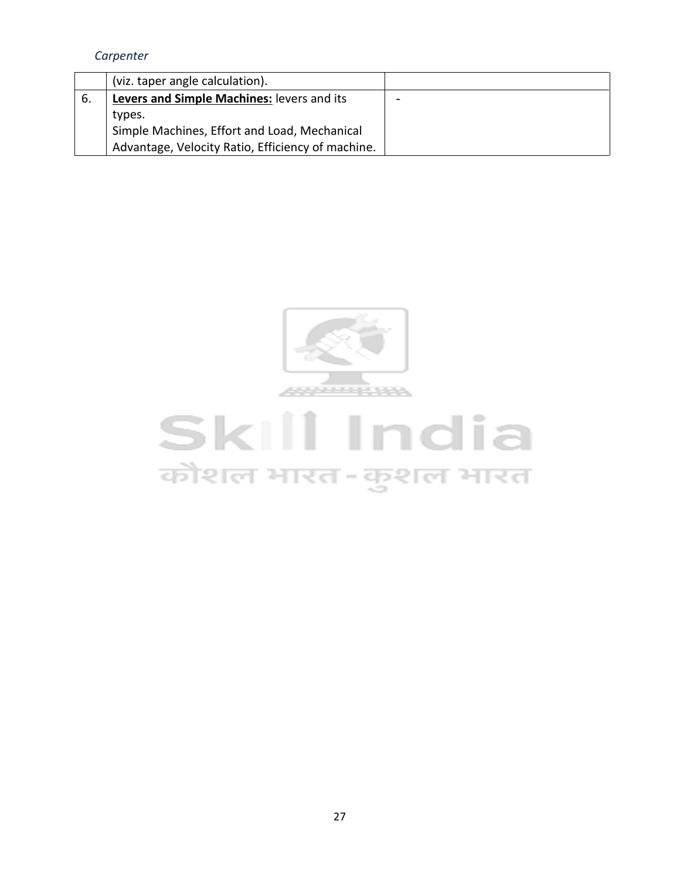|     | (viz. taper angle calculation).                   |  |
|-----|---------------------------------------------------|--|
| -6. | Levers and Simple Machines: levers and its        |  |
|     | types.                                            |  |
|     | Simple Machines, Effort and Load, Mechanical      |  |
|     | Advantage, Velocity Ratio, Efficiency of machine. |  |



# **Skill India** कोशल भारत-कुशल भारत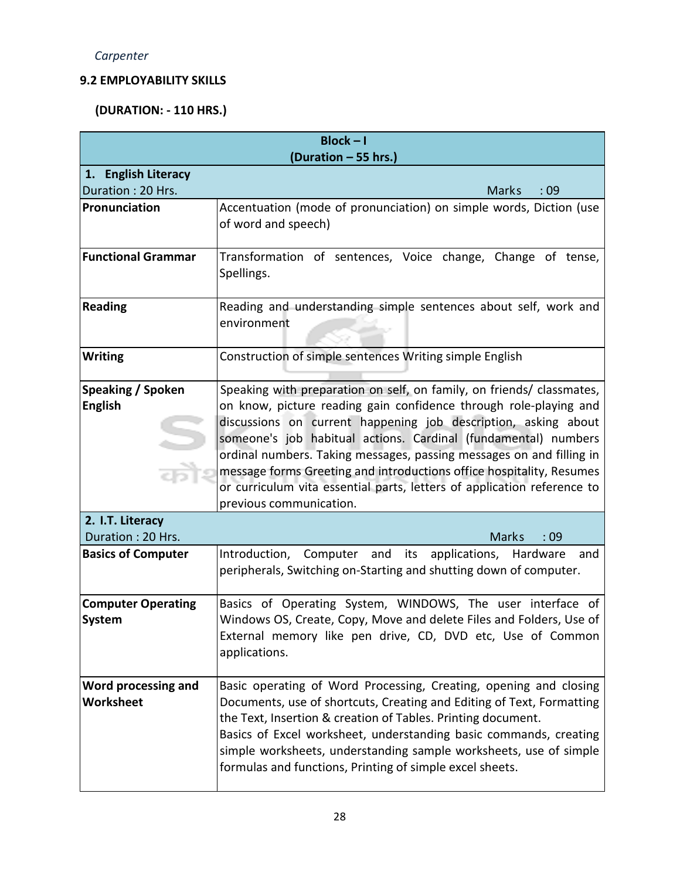#### **9.2 EMPLOYABILITY SKILLS**

#### **(DURATION: - 110 HRS.)**

| $Block - I$                              |                                                                                                                                              |  |
|------------------------------------------|----------------------------------------------------------------------------------------------------------------------------------------------|--|
| (Duration - 55 hrs.)                     |                                                                                                                                              |  |
| 1. English Literacy<br>Duration: 20 Hrs. | <b>Marks</b><br>:09                                                                                                                          |  |
| Pronunciation                            | Accentuation (mode of pronunciation) on simple words, Diction (use                                                                           |  |
|                                          | of word and speech)                                                                                                                          |  |
|                                          |                                                                                                                                              |  |
| <b>Functional Grammar</b>                | Transformation of sentences, Voice change, Change of tense,                                                                                  |  |
|                                          | Spellings.                                                                                                                                   |  |
| <b>Reading</b>                           | Reading and understanding simple sentences about self, work and                                                                              |  |
|                                          | environment                                                                                                                                  |  |
|                                          |                                                                                                                                              |  |
| <b>Writing</b>                           | Construction of simple sentences Writing simple English                                                                                      |  |
|                                          |                                                                                                                                              |  |
| <b>Speaking / Spoken</b>                 | Speaking with preparation on self, on family, on friends/ classmates,                                                                        |  |
| <b>English</b>                           | on know, picture reading gain confidence through role-playing and                                                                            |  |
|                                          | discussions on current happening job description, asking about                                                                               |  |
|                                          | someone's job habitual actions. Cardinal (fundamental) numbers                                                                               |  |
|                                          | ordinal numbers. Taking messages, passing messages on and filling in<br>message forms Greeting and introductions office hospitality, Resumes |  |
|                                          | or curriculum vita essential parts, letters of application reference to                                                                      |  |
|                                          | previous communication.                                                                                                                      |  |
| 2. I.T. Literacy                         |                                                                                                                                              |  |
| Duration: 20 Hrs.                        | <b>Marks</b><br>:09                                                                                                                          |  |
| <b>Basics of Computer</b>                | Introduction, Computer and its applications, Hardware<br>and                                                                                 |  |
|                                          | peripherals, Switching on-Starting and shutting down of computer.                                                                            |  |
|                                          |                                                                                                                                              |  |
| <b>Computer Operating</b>                | Basics of Operating System, WINDOWS, The user interface of                                                                                   |  |
| System                                   | Windows OS, Create, Copy, Move and delete Files and Folders, Use of                                                                          |  |
|                                          | External memory like pen drive, CD, DVD etc, Use of Common                                                                                   |  |
|                                          | applications.                                                                                                                                |  |
| Word processing and                      | Basic operating of Word Processing, Creating, opening and closing                                                                            |  |
| Worksheet                                | Documents, use of shortcuts, Creating and Editing of Text, Formatting                                                                        |  |
|                                          | the Text, Insertion & creation of Tables. Printing document.                                                                                 |  |
|                                          | Basics of Excel worksheet, understanding basic commands, creating                                                                            |  |
|                                          | simple worksheets, understanding sample worksheets, use of simple                                                                            |  |
|                                          | formulas and functions, Printing of simple excel sheets.                                                                                     |  |
|                                          |                                                                                                                                              |  |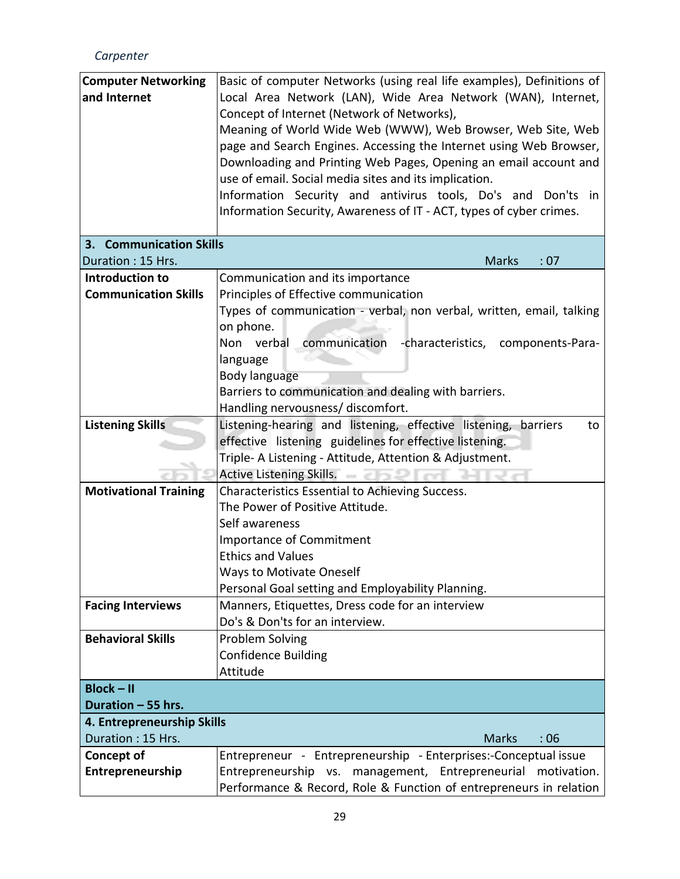| <b>Computer Networking</b><br>and Internet | Basic of computer Networks (using real life examples), Definitions of<br>Local Area Network (LAN), Wide Area Network (WAN), Internet,<br>Concept of Internet (Network of Networks),<br>Meaning of World Wide Web (WWW), Web Browser, Web Site, Web<br>page and Search Engines. Accessing the Internet using Web Browser,<br>Downloading and Printing Web Pages, Opening an email account and<br>use of email. Social media sites and its implication.<br>Information Security and antivirus tools, Do's and Don'ts in<br>Information Security, Awareness of IT - ACT, types of cyber crimes. |  |
|--------------------------------------------|----------------------------------------------------------------------------------------------------------------------------------------------------------------------------------------------------------------------------------------------------------------------------------------------------------------------------------------------------------------------------------------------------------------------------------------------------------------------------------------------------------------------------------------------------------------------------------------------|--|
| 3. Communication Skills                    |                                                                                                                                                                                                                                                                                                                                                                                                                                                                                                                                                                                              |  |
| Duration: 15 Hrs.                          | <b>Marks</b><br>:07                                                                                                                                                                                                                                                                                                                                                                                                                                                                                                                                                                          |  |
| Introduction to                            | Communication and its importance                                                                                                                                                                                                                                                                                                                                                                                                                                                                                                                                                             |  |
| <b>Communication Skills</b>                | Principles of Effective communication                                                                                                                                                                                                                                                                                                                                                                                                                                                                                                                                                        |  |
|                                            | Types of communication - verbal, non verbal, written, email, talking                                                                                                                                                                                                                                                                                                                                                                                                                                                                                                                         |  |
|                                            | on phone.                                                                                                                                                                                                                                                                                                                                                                                                                                                                                                                                                                                    |  |
|                                            | Non verbal<br>communication -characteristics, components-Para-                                                                                                                                                                                                                                                                                                                                                                                                                                                                                                                               |  |
|                                            | language                                                                                                                                                                                                                                                                                                                                                                                                                                                                                                                                                                                     |  |
|                                            | Body language                                                                                                                                                                                                                                                                                                                                                                                                                                                                                                                                                                                |  |
|                                            | Barriers to communication and dealing with barriers.                                                                                                                                                                                                                                                                                                                                                                                                                                                                                                                                         |  |
|                                            | Handling nervousness/ discomfort.                                                                                                                                                                                                                                                                                                                                                                                                                                                                                                                                                            |  |
| <b>Listening Skills</b>                    | Listening-hearing and listening, effective listening, barriers<br>to                                                                                                                                                                                                                                                                                                                                                                                                                                                                                                                         |  |
|                                            | effective listening guidelines for effective listening.                                                                                                                                                                                                                                                                                                                                                                                                                                                                                                                                      |  |
|                                            | Triple- A Listening - Attitude, Attention & Adjustment.                                                                                                                                                                                                                                                                                                                                                                                                                                                                                                                                      |  |
|                                            | Active Listening Skills.                                                                                                                                                                                                                                                                                                                                                                                                                                                                                                                                                                     |  |
| <b>Motivational Training</b>               | Characteristics Essential to Achieving Success.                                                                                                                                                                                                                                                                                                                                                                                                                                                                                                                                              |  |
|                                            | The Power of Positive Attitude.                                                                                                                                                                                                                                                                                                                                                                                                                                                                                                                                                              |  |
|                                            | Self awareness                                                                                                                                                                                                                                                                                                                                                                                                                                                                                                                                                                               |  |
|                                            | <b>Importance of Commitment</b>                                                                                                                                                                                                                                                                                                                                                                                                                                                                                                                                                              |  |
|                                            | <b>Ethics and Values</b>                                                                                                                                                                                                                                                                                                                                                                                                                                                                                                                                                                     |  |
|                                            | <b>Ways to Motivate Oneself</b>                                                                                                                                                                                                                                                                                                                                                                                                                                                                                                                                                              |  |
|                                            | Personal Goal setting and Employability Planning.                                                                                                                                                                                                                                                                                                                                                                                                                                                                                                                                            |  |
| <b>Facing Interviews</b>                   | Manners, Etiquettes, Dress code for an interview                                                                                                                                                                                                                                                                                                                                                                                                                                                                                                                                             |  |
|                                            | Do's & Don'ts for an interview.                                                                                                                                                                                                                                                                                                                                                                                                                                                                                                                                                              |  |
| <b>Behavioral Skills</b>                   | Problem Solving                                                                                                                                                                                                                                                                                                                                                                                                                                                                                                                                                                              |  |
|                                            | <b>Confidence Building</b>                                                                                                                                                                                                                                                                                                                                                                                                                                                                                                                                                                   |  |
|                                            | Attitude                                                                                                                                                                                                                                                                                                                                                                                                                                                                                                                                                                                     |  |
| $Block - II$<br>Duration - 55 hrs.         |                                                                                                                                                                                                                                                                                                                                                                                                                                                                                                                                                                                              |  |
| 4. Entrepreneurship Skills                 |                                                                                                                                                                                                                                                                                                                                                                                                                                                                                                                                                                                              |  |
| Duration: 15 Hrs.                          | <b>Marks</b><br>:06                                                                                                                                                                                                                                                                                                                                                                                                                                                                                                                                                                          |  |
| Concept of                                 | Entrepreneur - Entrepreneurship - Enterprises:-Conceptual issue                                                                                                                                                                                                                                                                                                                                                                                                                                                                                                                              |  |
| Entrepreneurship                           | Entrepreneurship vs. management, Entrepreneurial motivation.                                                                                                                                                                                                                                                                                                                                                                                                                                                                                                                                 |  |
|                                            | Performance & Record, Role & Function of entrepreneurs in relation                                                                                                                                                                                                                                                                                                                                                                                                                                                                                                                           |  |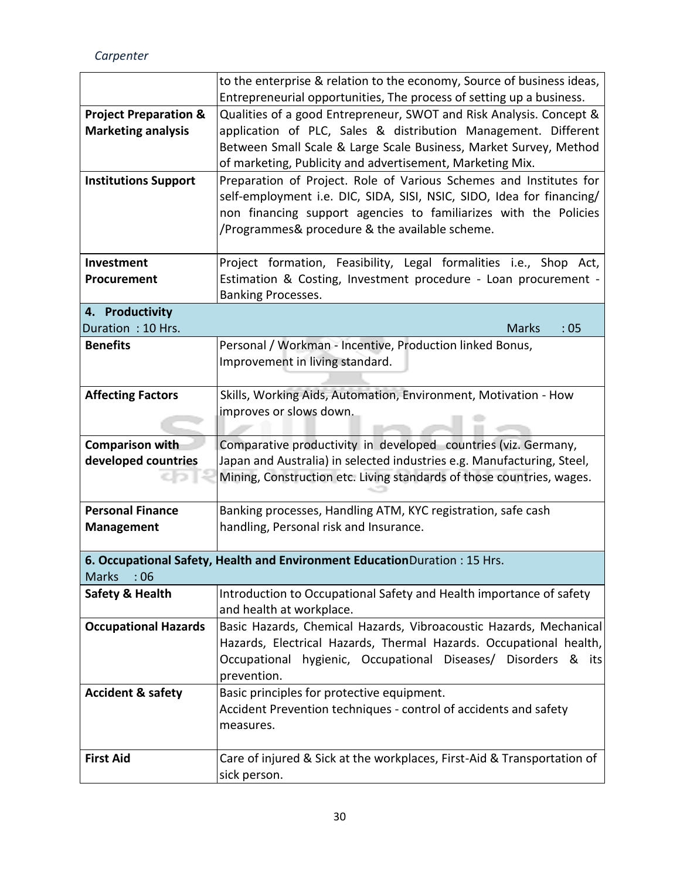*Carpenter*

|                                  | to the enterprise & relation to the economy, Source of business ideas,     |  |
|----------------------------------|----------------------------------------------------------------------------|--|
|                                  | Entrepreneurial opportunities, The process of setting up a business.       |  |
| <b>Project Preparation &amp;</b> | Qualities of a good Entrepreneur, SWOT and Risk Analysis. Concept &        |  |
| <b>Marketing analysis</b>        | application of PLC, Sales & distribution Management. Different             |  |
|                                  | Between Small Scale & Large Scale Business, Market Survey, Method          |  |
|                                  | of marketing, Publicity and advertisement, Marketing Mix.                  |  |
| <b>Institutions Support</b>      | Preparation of Project. Role of Various Schemes and Institutes for         |  |
|                                  | self-employment i.e. DIC, SIDA, SISI, NSIC, SIDO, Idea for financing/      |  |
|                                  | non financing support agencies to familiarizes with the Policies           |  |
|                                  | /Programmes& procedure & the available scheme.                             |  |
|                                  |                                                                            |  |
| Investment                       | Project formation, Feasibility, Legal formalities i.e., Shop Act,          |  |
| Procurement                      | Estimation & Costing, Investment procedure - Loan procurement -            |  |
|                                  | Banking Processes.                                                         |  |
| 4. Productivity                  |                                                                            |  |
| Duration: 10 Hrs.                | <b>Marks</b><br>:05                                                        |  |
| <b>Benefits</b>                  | Personal / Workman - Incentive, Production linked Bonus,                   |  |
|                                  | Improvement in living standard.                                            |  |
|                                  |                                                                            |  |
| <b>Affecting Factors</b>         | Skills, Working Aids, Automation, Environment, Motivation - How            |  |
|                                  | improves or slows down.                                                    |  |
|                                  |                                                                            |  |
| Comparison with                  | Comparative productivity in developed countries (viz. Germany,             |  |
| developed countries              | Japan and Australia) in selected industries e.g. Manufacturing, Steel,     |  |
|                                  | Mining, Construction etc. Living standards of those countries, wages.      |  |
|                                  |                                                                            |  |
| <b>Personal Finance</b>          | Banking processes, Handling ATM, KYC registration, safe cash               |  |
| <b>Management</b>                | handling, Personal risk and Insurance.                                     |  |
|                                  |                                                                            |  |
| <b>Marks</b><br>:06              | 6. Occupational Safety, Health and Environment Education Duration: 15 Hrs. |  |
| <b>Safety &amp; Health</b>       | Introduction to Occupational Safety and Health importance of safety        |  |
|                                  | and health at workplace.                                                   |  |
| <b>Occupational Hazards</b>      | Basic Hazards, Chemical Hazards, Vibroacoustic Hazards, Mechanical         |  |
|                                  | Hazards, Electrical Hazards, Thermal Hazards. Occupational health,         |  |
|                                  | Occupational hygienic, Occupational Diseases/ Disorders & its              |  |
|                                  | prevention.                                                                |  |
| <b>Accident &amp; safety</b>     | Basic principles for protective equipment.                                 |  |
|                                  | Accident Prevention techniques - control of accidents and safety           |  |
|                                  | measures.                                                                  |  |
|                                  |                                                                            |  |
| <b>First Aid</b>                 | Care of injured & Sick at the workplaces, First-Aid & Transportation of    |  |
|                                  | sick person.                                                               |  |
|                                  |                                                                            |  |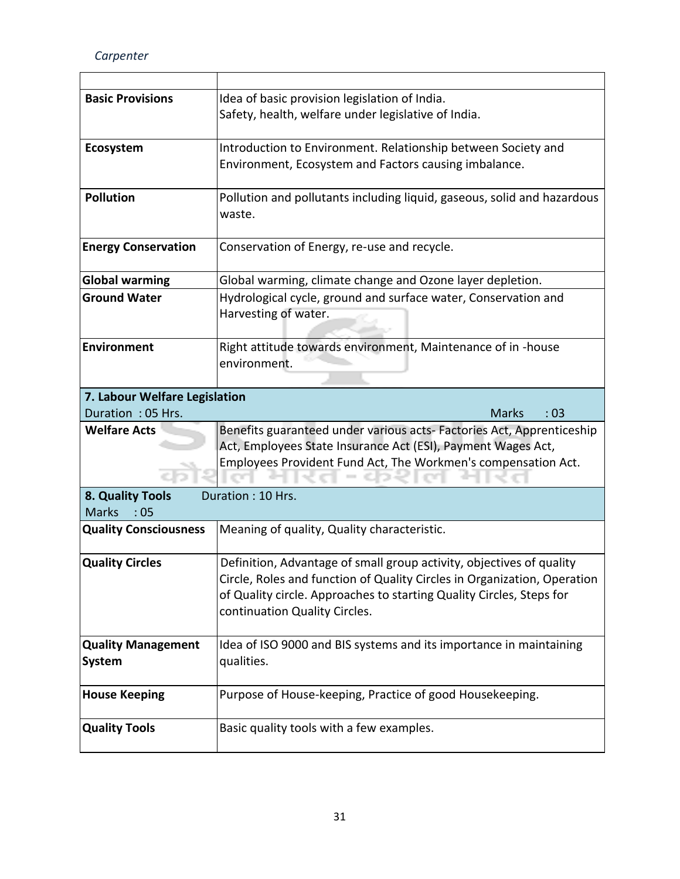*Carpenter*

| <b>Basic Provisions</b>       | Idea of basic provision legislation of India.                                     |  |  |  |  |  |  |  |
|-------------------------------|-----------------------------------------------------------------------------------|--|--|--|--|--|--|--|
|                               | Safety, health, welfare under legislative of India.                               |  |  |  |  |  |  |  |
| Ecosystem                     | Introduction to Environment. Relationship between Society and                     |  |  |  |  |  |  |  |
|                               | Environment, Ecosystem and Factors causing imbalance.                             |  |  |  |  |  |  |  |
| <b>Pollution</b>              | Pollution and pollutants including liquid, gaseous, solid and hazardous<br>waste. |  |  |  |  |  |  |  |
| <b>Energy Conservation</b>    | Conservation of Energy, re-use and recycle.                                       |  |  |  |  |  |  |  |
| <b>Global warming</b>         | Global warming, climate change and Ozone layer depletion.                         |  |  |  |  |  |  |  |
| <b>Ground Water</b>           | Hydrological cycle, ground and surface water, Conservation and                    |  |  |  |  |  |  |  |
|                               | Harvesting of water.                                                              |  |  |  |  |  |  |  |
| <b>Environment</b>            | Right attitude towards environment, Maintenance of in -house                      |  |  |  |  |  |  |  |
|                               | environment.                                                                      |  |  |  |  |  |  |  |
| 7. Labour Welfare Legislation |                                                                                   |  |  |  |  |  |  |  |
| Duration: 05 Hrs.             | <b>Marks</b><br>:03                                                               |  |  |  |  |  |  |  |
| <b>Welfare Acts</b>           | Benefits guaranteed under various acts-Factories Act, Apprenticeship              |  |  |  |  |  |  |  |
|                               | Act, Employees State Insurance Act (ESI), Payment Wages Act,                      |  |  |  |  |  |  |  |
|                               | Employees Provident Fund Act, The Workmen's compensation Act.                     |  |  |  |  |  |  |  |
| 8. Quality Tools              | Duration: 10 Hrs.                                                                 |  |  |  |  |  |  |  |
| <b>Marks</b><br>:05           |                                                                                   |  |  |  |  |  |  |  |
| <b>Quality Consciousness</b>  | Meaning of quality, Quality characteristic.                                       |  |  |  |  |  |  |  |
| <b>Quality Circles</b>        | Definition, Advantage of small group activity, objectives of quality              |  |  |  |  |  |  |  |
|                               | Circle, Roles and function of Quality Circles in Organization, Operation          |  |  |  |  |  |  |  |
|                               | of Quality circle. Approaches to starting Quality Circles, Steps for              |  |  |  |  |  |  |  |
|                               | continuation Quality Circles.                                                     |  |  |  |  |  |  |  |
| <b>Quality Management</b>     | Idea of ISO 9000 and BIS systems and its importance in maintaining                |  |  |  |  |  |  |  |
| <b>System</b>                 | qualities.                                                                        |  |  |  |  |  |  |  |
| <b>House Keeping</b>          | Purpose of House-keeping, Practice of good Housekeeping.                          |  |  |  |  |  |  |  |
| <b>Quality Tools</b>          | Basic quality tools with a few examples.                                          |  |  |  |  |  |  |  |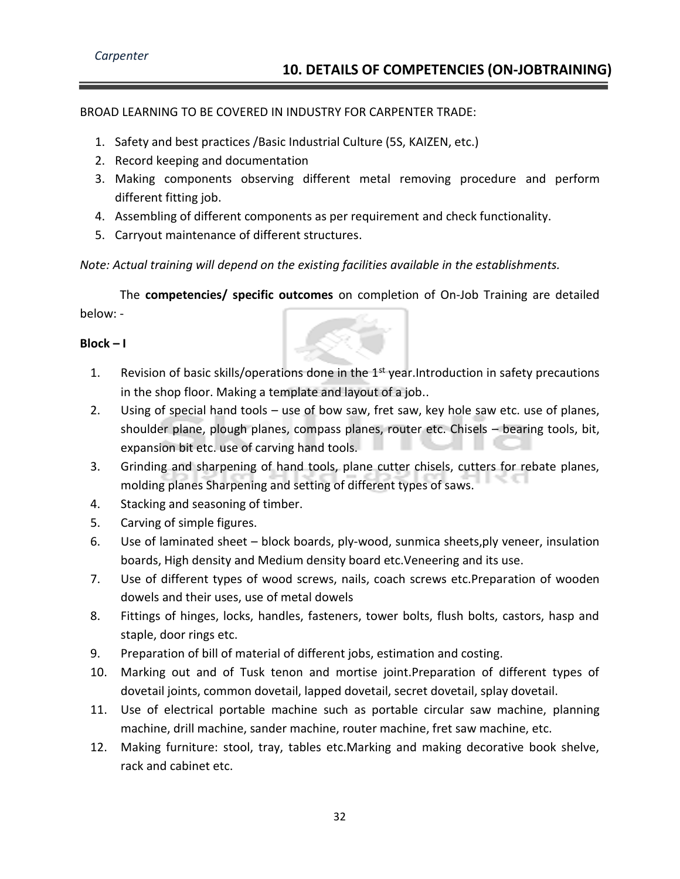BROAD LEARNING TO BE COVERED IN INDUSTRY FOR CARPENTER TRADE:

- 1. Safety and best practices /Basic Industrial Culture (5S, KAIZEN, etc.)
- 2. Record keeping and documentation
- 3. Making components observing different metal removing procedure and perform different fitting job.
- 4. Assembling of different components as per requirement and check functionality.
- 5. Carryout maintenance of different structures.

*Note: Actual training will depend on the existing facilities available in the establishments.*

The **competencies/ specific outcomes** on completion of On-Job Training are detailed below: -

#### **Block – I**

- 1. Revision of basic skills/operations done in the 1<sup>st</sup> year. Introduction in safety precautions in the shop floor. Making a template and layout of a job..
- 2. Using of special hand tools use of bow saw, fret saw, key hole saw etc. use of planes, shoulder plane, plough planes, compass planes, router etc. Chisels – bearing tools, bit, expansion bit etc. use of carving hand tools.
- 3. Grinding and sharpening of hand tools, plane cutter chisels, cutters for rebate planes, molding planes Sharpening and setting of different types of saws.
- 4. Stacking and seasoning of timber.
- 5. Carving of simple figures.
- 6. Use of laminated sheet block boards, ply-wood, sunmica sheets,ply veneer, insulation boards, High density and Medium density board etc.Veneering and its use.
- 7. Use of different types of wood screws, nails, coach screws etc.Preparation of wooden dowels and their uses, use of metal dowels
- 8. Fittings of hinges, locks, handles, fasteners, tower bolts, flush bolts, castors, hasp and staple, door rings etc.
- 9. Preparation of bill of material of different jobs, estimation and costing.
- 10. Marking out and of Tusk tenon and mortise joint.Preparation of different types of dovetail joints, common dovetail, lapped dovetail, secret dovetail, splay dovetail.
- 11. Use of electrical portable machine such as portable circular saw machine, planning machine, drill machine, sander machine, router machine, fret saw machine, etc.
- 12. Making furniture: stool, tray, tables etc.Marking and making decorative book shelve, rack and cabinet etc.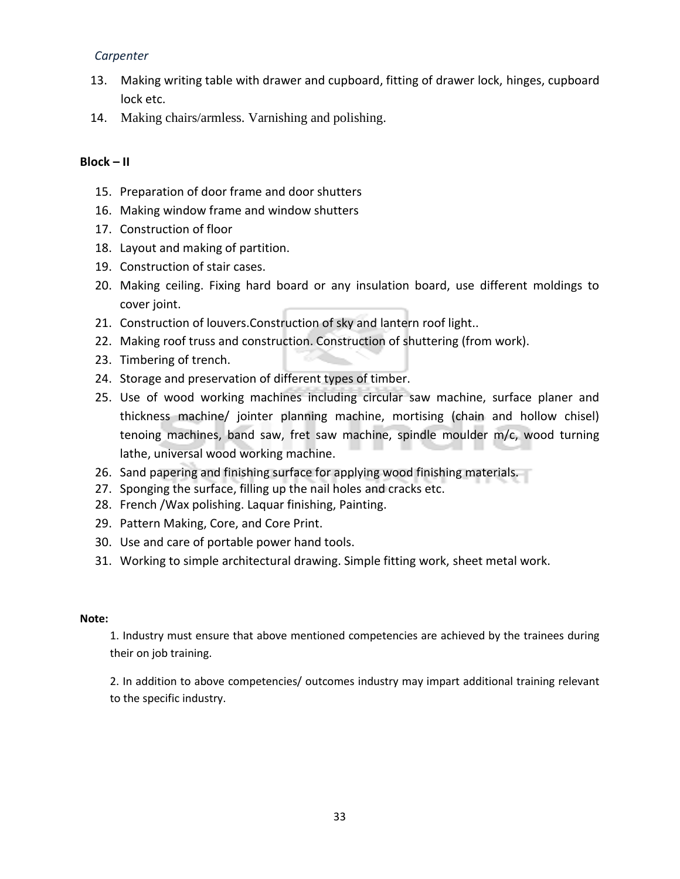- 13. Making writing table with drawer and cupboard, fitting of drawer lock, hinges, cupboard lock etc.
- 14. Making chairs/armless. Varnishing and polishing.

#### **Block – II**

- 15. Preparation of door frame and door shutters
- 16. Making window frame and window shutters
- 17. Construction of floor
- 18. Layout and making of partition.
- 19. Construction of stair cases.
- 20. Making ceiling. Fixing hard board or any insulation board, use different moldings to cover joint.
- 21. Construction of louvers.Construction of sky and lantern roof light..
- 22. Making roof truss and construction. Construction of shuttering (from work).
- 23. Timbering of trench.
- 24. Storage and preservation of different types of timber.
- 25. Use of wood working machines including circular saw machine, surface planer and thickness machine/ jointer planning machine, mortising (chain and hollow chisel) tenoing machines, band saw, fret saw machine, spindle moulder m/c, wood turning lathe, universal wood working machine.
- 26. Sand papering and finishing surface for applying wood finishing materials.
- 27. Sponging the surface, filling up the nail holes and cracks etc.
- 28. French /Wax polishing. Laquar finishing, Painting.
- 29. Pattern Making, Core, and Core Print.
- 30. Use and care of portable power hand tools.
- 31. Working to simple architectural drawing. Simple fitting work, sheet metal work.

#### **Note:**

1. Industry must ensure that above mentioned competencies are achieved by the trainees during their on job training.

2. In addition to above competencies/ outcomes industry may impart additional training relevant to the specific industry.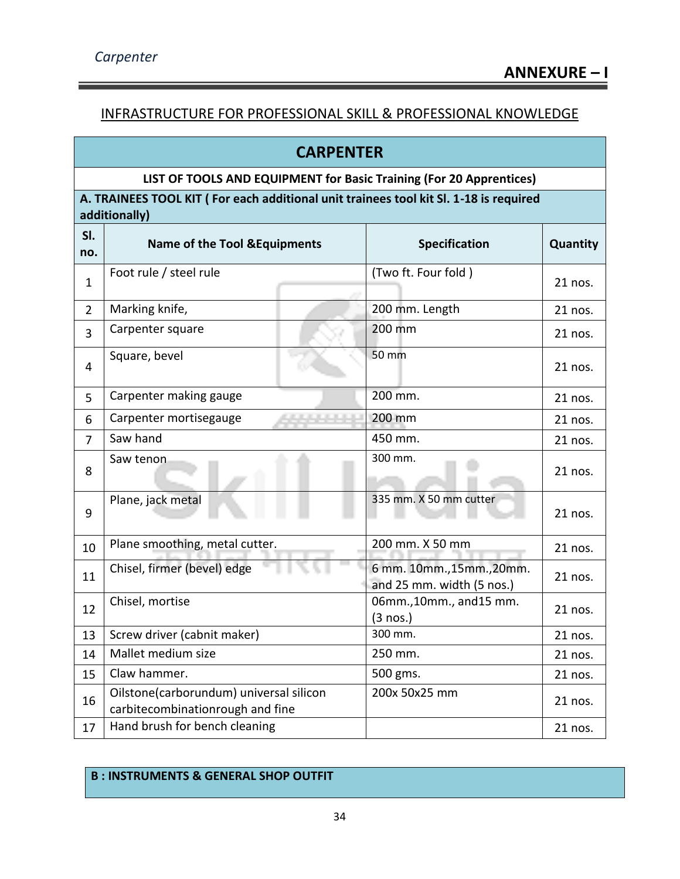#### INFRASTRUCTURE FOR PROFESSIONAL SKILL & PROFESSIONAL KNOWLEDGE

|                | <b>CARPENTER</b>                                                                                       |                                                        |          |  |  |  |  |  |  |  |
|----------------|--------------------------------------------------------------------------------------------------------|--------------------------------------------------------|----------|--|--|--|--|--|--|--|
|                | LIST OF TOOLS AND EQUIPMENT for Basic Training (For 20 Apprentices)                                    |                                                        |          |  |  |  |  |  |  |  |
|                | A. TRAINEES TOOL KIT (For each additional unit trainees tool kit Sl. 1-18 is required<br>additionally) |                                                        |          |  |  |  |  |  |  |  |
| SI.            |                                                                                                        |                                                        |          |  |  |  |  |  |  |  |
| no.            | <b>Name of the Tool &amp; Equipments</b>                                                               | Specification                                          | Quantity |  |  |  |  |  |  |  |
| $\mathbf{1}$   | Foot rule / steel rule                                                                                 | (Two ft. Four fold)                                    | 21 nos.  |  |  |  |  |  |  |  |
| $\overline{2}$ | Marking knife,                                                                                         | 200 mm. Length                                         | 21 nos.  |  |  |  |  |  |  |  |
| 3              | Carpenter square                                                                                       | 200 mm                                                 | 21 nos.  |  |  |  |  |  |  |  |
| 4              | Square, bevel                                                                                          | 50 mm                                                  | 21 nos.  |  |  |  |  |  |  |  |
| 5              | Carpenter making gauge                                                                                 | 200 mm.                                                | 21 nos.  |  |  |  |  |  |  |  |
| 6              | Carpenter mortisegauge<br>120111-012                                                                   | 200 mm                                                 | 21 nos.  |  |  |  |  |  |  |  |
| 7              | Saw hand                                                                                               | 450 mm.                                                | 21 nos.  |  |  |  |  |  |  |  |
| 8              | Saw tenon                                                                                              | 300 mm.                                                | 21 nos.  |  |  |  |  |  |  |  |
| 9              | Plane, jack metal                                                                                      | 335 mm. X 50 mm cutter                                 | 21 nos.  |  |  |  |  |  |  |  |
| 10             | Plane smoothing, metal cutter.                                                                         | 200 mm. X 50 mm                                        | 21 nos.  |  |  |  |  |  |  |  |
| 11             | Chisel, firmer (bevel) edge                                                                            | 6 mm. 10mm., 15mm., 20mm.<br>and 25 mm. width (5 nos.) | 21 nos.  |  |  |  |  |  |  |  |
| 12             | Chisel, mortise                                                                                        | 06mm., 10mm., and 15 mm.<br>$(3 \text{ nos.})$         | 21 nos.  |  |  |  |  |  |  |  |
| 13             | Screw driver (cabnit maker)                                                                            | 300 mm.                                                | 21 nos.  |  |  |  |  |  |  |  |
| 14             | Mallet medium size                                                                                     | 250 mm.                                                | 21 nos.  |  |  |  |  |  |  |  |
| 15             | Claw hammer.                                                                                           | 500 gms.                                               | 21 nos.  |  |  |  |  |  |  |  |
| 16             | Oilstone(carborundum) universal silicon<br>carbitecombinationrough and fine                            | 200x 50x25 mm                                          | 21 nos.  |  |  |  |  |  |  |  |
| 17             | Hand brush for bench cleaning                                                                          |                                                        | 21 nos.  |  |  |  |  |  |  |  |

#### **B : INSTRUMENTS & GENERAL SHOP OUTFIT**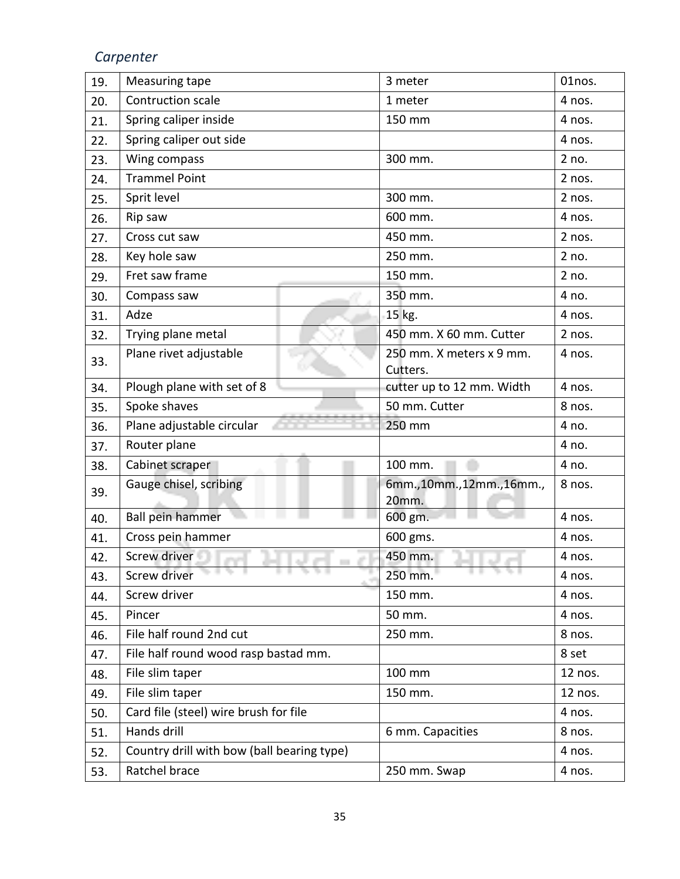| 19. | Measuring tape                             | 3 meter                              | 01nos.  |  |
|-----|--------------------------------------------|--------------------------------------|---------|--|
| 20. | Contruction scale                          | 1 meter                              | 4 nos.  |  |
| 21. | Spring caliper inside                      | 150 mm                               | 4 nos.  |  |
| 22. | Spring caliper out side                    |                                      | 4 nos.  |  |
| 23. | Wing compass                               | 300 mm.                              | 2 no.   |  |
| 24. | <b>Trammel Point</b>                       |                                      | 2 nos.  |  |
| 25. | Sprit level                                | 300 mm.                              | 2 nos.  |  |
| 26. | Rip saw                                    | 600 mm.                              | 4 nos.  |  |
| 27. | Cross cut saw                              | 450 mm.                              | 2 nos.  |  |
| 28. | Key hole saw                               | 250 mm.                              | 2 no.   |  |
| 29. | Fret saw frame                             | 150 mm.                              | 2 no.   |  |
| 30. | Compass saw                                | 350 mm.                              | 4 no.   |  |
| 31. | Adze                                       | 15 kg.                               | 4 nos.  |  |
| 32. | Trying plane metal                         | 450 mm. X 60 mm. Cutter              | 2 nos.  |  |
| 33. | Plane rivet adjustable                     | 250 mm. X meters x 9 mm.<br>Cutters. | 4 nos.  |  |
| 34. | Plough plane with set of 8                 | cutter up to 12 mm. Width            | 4 nos.  |  |
| 35. | Spoke shaves                               | 50 mm. Cutter                        | 8 nos.  |  |
| 36. | Plane adjustable circular                  | 250 mm                               | 4 no.   |  |
| 37. | Router plane                               |                                      | 4 no.   |  |
| 38. | Cabinet scraper                            | 100 mm.                              | 4 no.   |  |
| 39. | Gauge chisel, scribing                     | 6mm.,10mm.,12mm.,16mm.,              | 8 nos.  |  |
|     |                                            | 20mm.                                |         |  |
| 40. | Ball pein hammer                           | 600 gm.                              | 4 nos.  |  |
| 41. | Cross pein hammer                          | 600 gms.                             | 4 nos.  |  |
| 42. | Screw driver                               | 450 mm.                              | 4 nos.  |  |
| 43. | .<br>Screw driver                          | 250 mm.                              | 4 nos.  |  |
| 44. | Screw driver                               | 150 mm.                              | 4 nos.  |  |
| 45. | Pincer                                     | 50 mm.                               | 4 nos.  |  |
| 46. | File half round 2nd cut                    | 250 mm.                              | 8 nos.  |  |
| 47. | File half round wood rasp bastad mm.       |                                      | 8 set   |  |
| 48. | File slim taper                            | 100 mm                               | 12 nos. |  |
| 49. | File slim taper                            | 150 mm.                              | 12 nos. |  |
| 50. | Card file (steel) wire brush for file      |                                      | 4 nos.  |  |
| 51. | Hands drill                                | 6 mm. Capacities                     | 8 nos.  |  |
| 52. | Country drill with bow (ball bearing type) |                                      | 4 nos.  |  |
| 53. | Ratchel brace                              | 250 mm. Swap                         | 4 nos.  |  |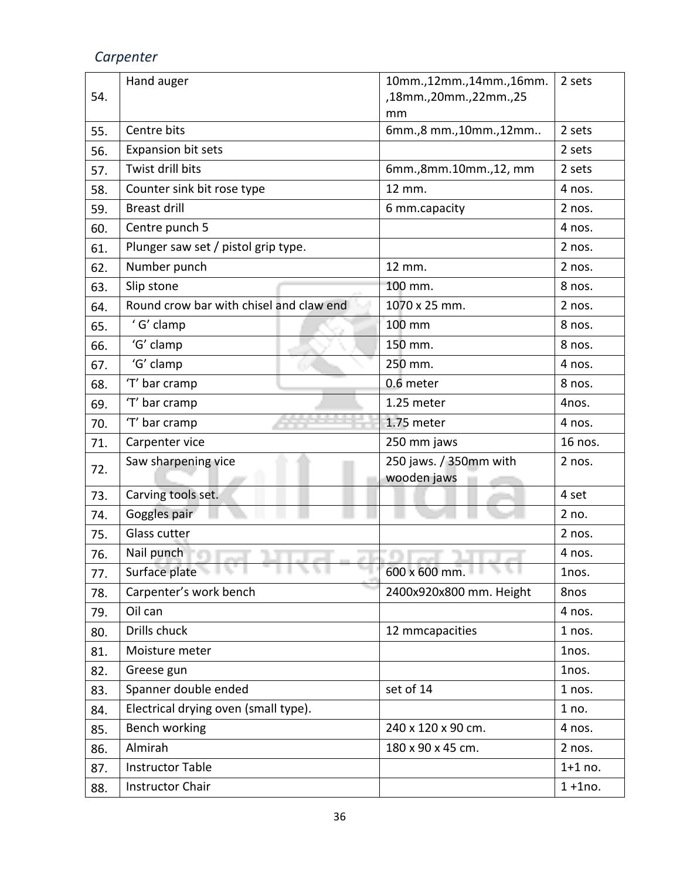|     | Hand auger                              | 10mm.,12mm.,14mm.,16mm.        | 2 sets      |
|-----|-----------------------------------------|--------------------------------|-------------|
| 54. |                                         | ,18mm.,20mm.,22mm.,25          |             |
|     | Centre bits                             | mm<br>6mm., 8 mm., 10mm., 12mm | 2 sets      |
| 55. |                                         |                                |             |
| 56. | <b>Expansion bit sets</b>               |                                | 2 sets      |
| 57. | Twist drill bits                        | 6mm.,8mm.10mm.,12, mm          | 2 sets      |
| 58. | Counter sink bit rose type              | 12 mm.                         | 4 nos.      |
| 59. | <b>Breast drill</b>                     | 6 mm.capacity                  | 2 nos.      |
| 60. | Centre punch 5                          |                                | 4 nos.      |
| 61. | Plunger saw set / pistol grip type.     |                                | 2 nos.      |
| 62. | Number punch                            | 12 mm.                         | 2 nos.      |
| 63. | Slip stone                              | 100 mm.                        | 8 nos.      |
| 64. | Round crow bar with chisel and claw end | 1070 x 25 mm.                  | 2 nos.      |
| 65. | 'G' clamp                               | 100 mm                         | 8 nos.      |
| 66. | 'G' clamp                               | 150 mm.                        | 8 nos.      |
| 67. | 'G' clamp                               | 250 mm.                        | 4 nos.      |
| 68. | 'T' bar cramp                           | 0.6 meter                      | 8 nos.      |
| 69. | 'T' bar cramp                           | 1.25 meter                     | 4nos.       |
| 70. | 'T' bar cramp                           | 1.75 meter                     | 4 nos.      |
| 71. | Carpenter vice                          | 250 mm jaws                    | 16 nos.     |
| 72. | Saw sharpening vice                     | 250 jaws. / 350mm with         | 2 nos.      |
|     |                                         | wooden jaws                    |             |
| 73. | Carving tools set.                      |                                | 4 set       |
| 74. | Goggles pair                            |                                | 2 no.       |
| 75. | Glass cutter                            |                                | 2 nos.      |
| 76. | Nail punch                              |                                | 4 nos.      |
| 77. | Surface plate<br>.                      | 600 x 600 mm.                  | 1nos.       |
| 78. | Carpenter's work bench                  | 2400x920x800 mm. Height        | 8nos        |
| 79. | Oil can                                 |                                | 4 nos.      |
| 80. | Drills chuck                            | 12 mmcapacities                | 1 nos.      |
| 81. | Moisture meter                          |                                | 1nos.       |
| 82. | Greese gun                              |                                | 1nos.       |
| 83. | Spanner double ended                    | set of 14                      | 1 nos.      |
| 84. | Electrical drying oven (small type).    |                                | 1 no.       |
| 85. | Bench working                           | 240 x 120 x 90 cm.             | 4 nos.      |
| 86. | Almirah                                 | 180 x 90 x 45 cm.              | 2 nos.      |
| 87. | <b>Instructor Table</b>                 |                                | $1+1$ no.   |
| 88. | <b>Instructor Chair</b>                 |                                | $1 + 1$ no. |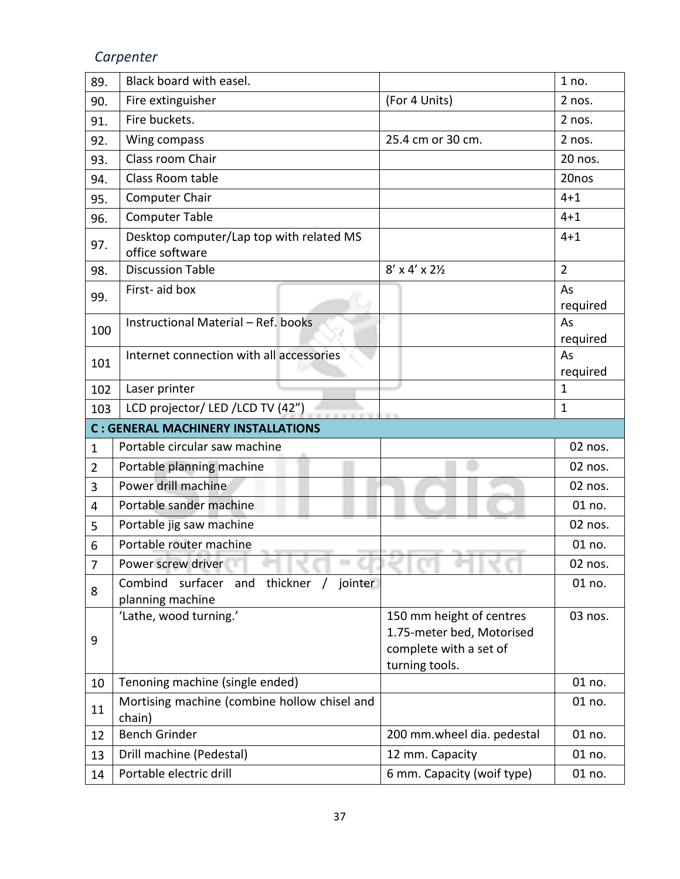| 89.            | Black board with easel.                                     |                                                                                                   | 1 no.          |
|----------------|-------------------------------------------------------------|---------------------------------------------------------------------------------------------------|----------------|
| 90.            | Fire extinguisher                                           | (For 4 Units)                                                                                     | 2 nos.         |
| 91.            | Fire buckets.                                               |                                                                                                   | 2 nos.         |
| 92.            | Wing compass                                                | 25.4 cm or 30 cm.                                                                                 | 2 nos.         |
| 93.            | Class room Chair                                            |                                                                                                   | 20 nos.        |
| 94.            | Class Room table                                            |                                                                                                   | 20nos          |
| 95.            | Computer Chair                                              |                                                                                                   | $4 + 1$        |
| 96.            | <b>Computer Table</b>                                       |                                                                                                   | $4 + 1$        |
| 97.            | Desktop computer/Lap top with related MS<br>office software |                                                                                                   | $4 + 1$        |
| 98.            | <b>Discussion Table</b>                                     | $8'$ x 4' x 2 $\frac{1}{2}$                                                                       | $\overline{2}$ |
| 99.            | First-aid box                                               |                                                                                                   | As<br>required |
| 100            | Instructional Material - Ref. books                         |                                                                                                   | As<br>required |
| 101            | Internet connection with all accessories                    |                                                                                                   | As<br>required |
| 102            | Laser printer                                               |                                                                                                   | $\mathbf 1$    |
| 103            | LCD projector/ LED / LCD TV (42")                           |                                                                                                   | $\mathbf 1$    |
|                | <b>C: GENERAL MACHINERY INSTALLATIONS</b>                   |                                                                                                   |                |
| $\mathbf{1}$   | Portable circular saw machine                               |                                                                                                   | 02 nos.        |
| $\overline{2}$ |                                                             |                                                                                                   | 02 nos.        |
|                | Portable planning machine                                   |                                                                                                   |                |
| 3              | Power drill machine                                         |                                                                                                   | 02 nos.        |
| 4              | Portable sander machine                                     |                                                                                                   | 01 no.         |
| 5              | Portable jig saw machine                                    |                                                                                                   | 02 nos.        |
| 6              | Portable router machine                                     |                                                                                                   | 01 no.         |
| 7              | Power screw driver                                          |                                                                                                   | 02 nos.        |
| 8              | surfacer and thickner<br>Combind<br>jointer                 |                                                                                                   | 01 no.         |
| 9              | planning machine<br>'Lathe, wood turning.'                  | 150 mm height of centres<br>1.75-meter bed, Motorised<br>complete with a set of<br>turning tools. | 03 nos.        |
| 10             | Tenoning machine (single ended)                             |                                                                                                   | 01 no.         |
| 11             | Mortising machine (combine hollow chisel and<br>chain)      |                                                                                                   | 01 no.         |
| 12             | <b>Bench Grinder</b>                                        | 200 mm.wheel dia. pedestal                                                                        | 01 no.         |
| 13             | Drill machine (Pedestal)                                    | 12 mm. Capacity                                                                                   | 01 no.         |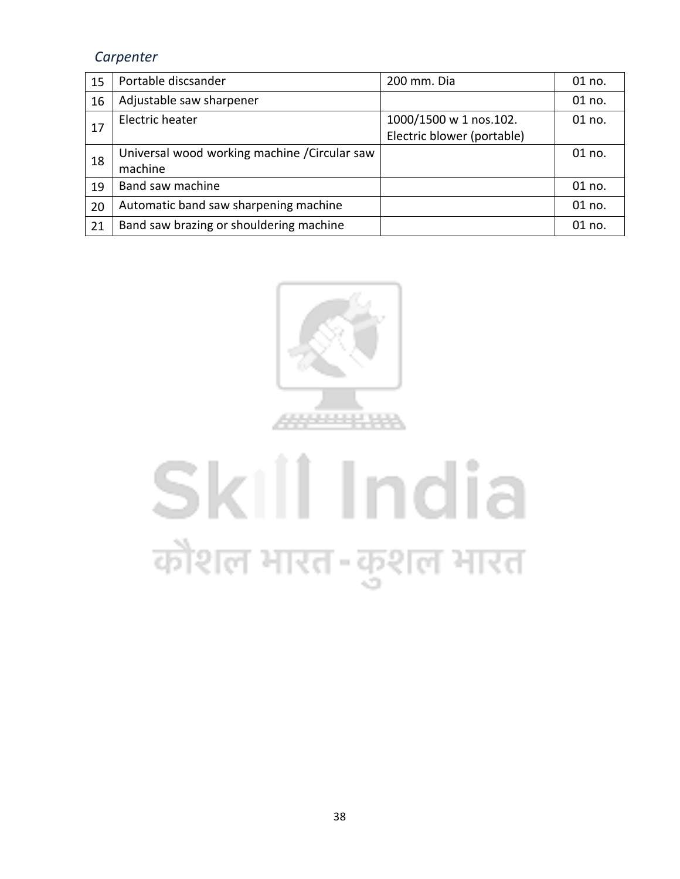| 15 | Portable discsander                                      | 200 mm. Dia                                          | 01 no. |
|----|----------------------------------------------------------|------------------------------------------------------|--------|
| 16 | Adjustable saw sharpener                                 |                                                      | 01 no. |
| 17 | Electric heater                                          | 1000/1500 w 1 nos.102.<br>Electric blower (portable) | 01 no. |
| 18 | Universal wood working machine / Circular saw<br>machine |                                                      | 01 no. |
| 19 | Band saw machine                                         |                                                      | 01 no. |
| 20 | Automatic band saw sharpening machine                    |                                                      | 01 no. |
| 21 | Band saw brazing or shouldering machine                  |                                                      | 01 no. |



# Skill India कौशल भारत-कुशल भारत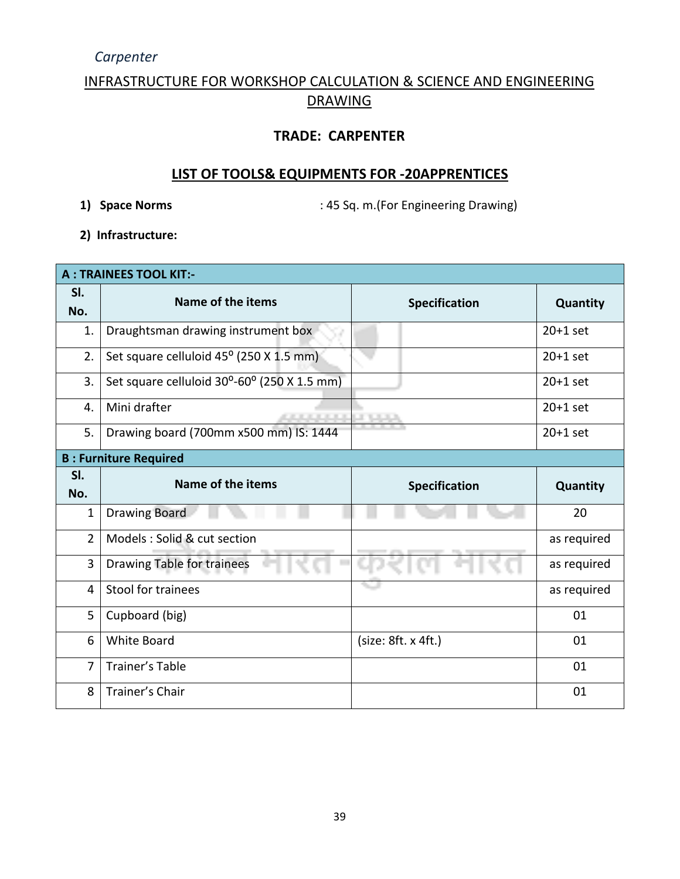#### INFRASTRUCTURE FOR WORKSHOP CALCULATION & SCIENCE AND ENGINEERING DRAWING

#### **TRADE: CARPENTER**

#### **LIST OF TOOLS& EQUIPMENTS FOR -20APPRENTICES**

**1) Space Norms** : 45 Sq. m.(For Engineering Drawing)

**2) Infrastructure:** 

|                | <b>A: TRAINEES TOOL KIT:-</b>               |                     |             |  |  |
|----------------|---------------------------------------------|---------------------|-------------|--|--|
| SI.<br>No.     | Name of the items                           | Specification       | Quantity    |  |  |
| 1.             | Draughtsman drawing instrument box          |                     | $20+1$ set  |  |  |
| 2.             | Set square celluloid 45° (250 X 1.5 mm)     |                     | $20+1$ set  |  |  |
| 3.             | Set square celluloid 30°-60° (250 X 1.5 mm) |                     | $20+1$ set  |  |  |
| 4.             | Mini drafter<br><b>CONTRACTOR</b>           | <b>LE TURNER</b>    | $20+1$ set  |  |  |
| 5.             | Drawing board (700mm x500 mm) IS: 1444      |                     | $20+1$ set  |  |  |
|                | <b>B: Furniture Required</b>                |                     |             |  |  |
| SI.<br>No.     | Name of the items                           | Specification       | Quantity    |  |  |
| $\mathbf{1}$   | <b>Drawing Board</b>                        |                     | 20          |  |  |
| $\overline{2}$ | Models: Solid & cut section                 |                     | as required |  |  |
| 3              | <b>Drawing Table for trainees</b>           |                     | as required |  |  |
| 4              | Stool for trainees                          |                     |             |  |  |
|                |                                             |                     | as required |  |  |
| 5              | Cupboard (big)                              |                     | 01          |  |  |
| 6              | <b>White Board</b>                          | (size: 8ft. x 4ft.) | 01          |  |  |
| $\overline{7}$ | Trainer's Table                             |                     | 01          |  |  |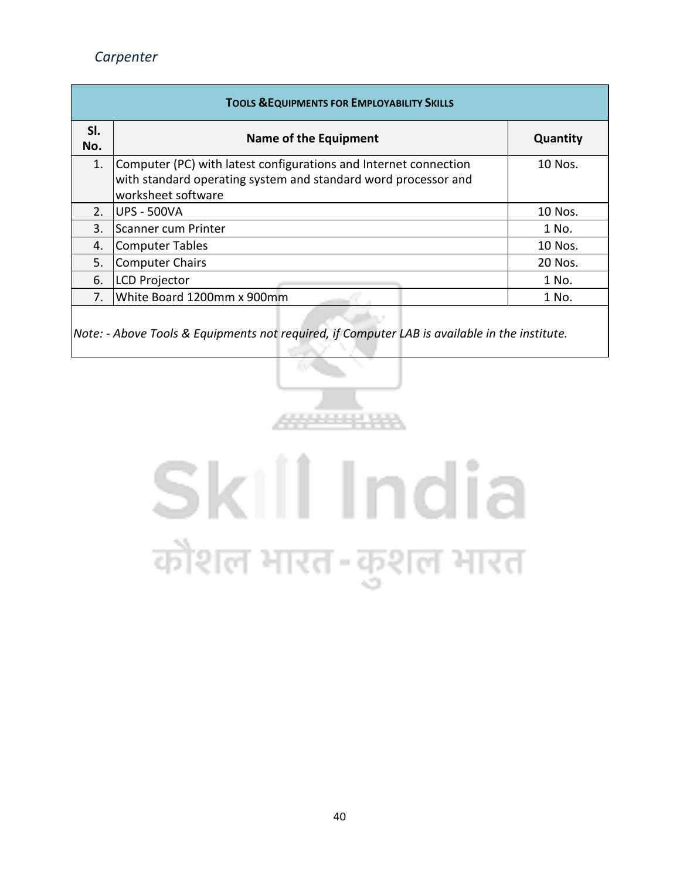| <b>TOOLS &amp; EQUIPMENTS FOR EMPLOYABILITY SKILLS</b> |                                                                                                                                                          |         |  |  |  |  |  |  |
|--------------------------------------------------------|----------------------------------------------------------------------------------------------------------------------------------------------------------|---------|--|--|--|--|--|--|
| SI.<br>No.                                             | Name of the Equipment                                                                                                                                    |         |  |  |  |  |  |  |
| 1.                                                     | Computer (PC) with latest configurations and Internet connection<br>with standard operating system and standard word processor and<br>worksheet software | 10 Nos. |  |  |  |  |  |  |
| 2.                                                     | <b>IUPS - 500VA</b>                                                                                                                                      | 10 Nos. |  |  |  |  |  |  |
| $\mathbf{3}$ .                                         | lScanner cum Printer                                                                                                                                     | 1 No.   |  |  |  |  |  |  |
| 4.                                                     | <b>Computer Tables</b>                                                                                                                                   | 10 Nos. |  |  |  |  |  |  |
| 5.                                                     | <b>Computer Chairs</b>                                                                                                                                   |         |  |  |  |  |  |  |
| 6.                                                     | <b>LCD Projector</b>                                                                                                                                     | 1 No.   |  |  |  |  |  |  |
| $7_{\cdot}$                                            | White Board 1200mm x 900mm                                                                                                                               | 1 No.   |  |  |  |  |  |  |
|                                                        |                                                                                                                                                          |         |  |  |  |  |  |  |

*Note: - Above Tools & Equipments not required, if Computer LAB is available in the institute.*



# Skill India कौशल भारत-कुशल भारत